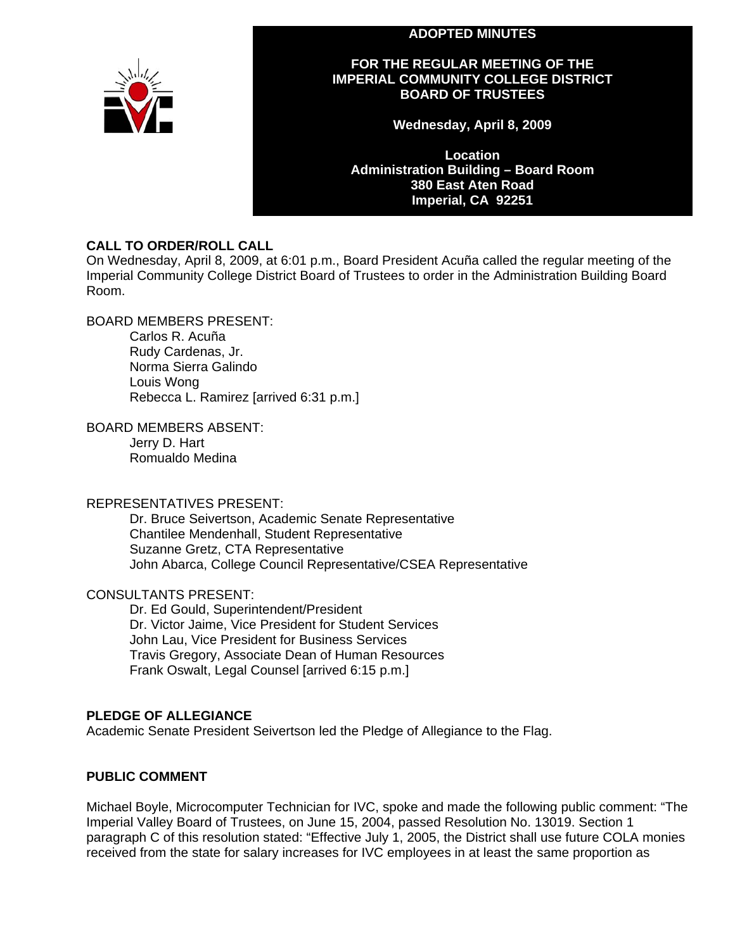#### **ADOPTED MINUTES**



## **FOR THE REGULAR MEETING OF THE IMPERIAL COMMUNITY COLLEGE DISTRICT BOARD OF TRUSTEES**

**Wednesday, April 8, 2009** 

**Location Administration Building – Board Room 380 East Aten Road Imperial, CA 92251** 

## **CALL TO ORDER/ROLL CALL**

On Wednesday, April 8, 2009, at 6:01 p.m., Board President Acuña called the regular meeting of the Imperial Community College District Board of Trustees to order in the Administration Building Board Room.

BOARD MEMBERS PRESENT:

Carlos R. Acuña Rudy Cardenas, Jr. Norma Sierra Galindo Louis Wong Rebecca L. Ramirez [arrived 6:31 p.m.]

BOARD MEMBERS ABSENT:

Jerry D. Hart Romualdo Medina

## REPRESENTATIVES PRESENT:

Dr. Bruce Seivertson, Academic Senate Representative Chantilee Mendenhall, Student Representative Suzanne Gretz, CTA Representative John Abarca, College Council Representative/CSEA Representative

CONSULTANTS PRESENT:

Dr. Ed Gould, Superintendent/President Dr. Victor Jaime, Vice President for Student Services John Lau, Vice President for Business Services Travis Gregory, Associate Dean of Human Resources Frank Oswalt, Legal Counsel [arrived 6:15 p.m.]

## **PLEDGE OF ALLEGIANCE**

Academic Senate President Seivertson led the Pledge of Allegiance to the Flag.

## **PUBLIC COMMENT**

Michael Boyle, Microcomputer Technician for IVC, spoke and made the following public comment: "The Imperial Valley Board of Trustees, on June 15, 2004, passed Resolution No. 13019. Section 1 paragraph C of this resolution stated: "Effective July 1, 2005, the District shall use future COLA monies received from the state for salary increases for IVC employees in at least the same proportion as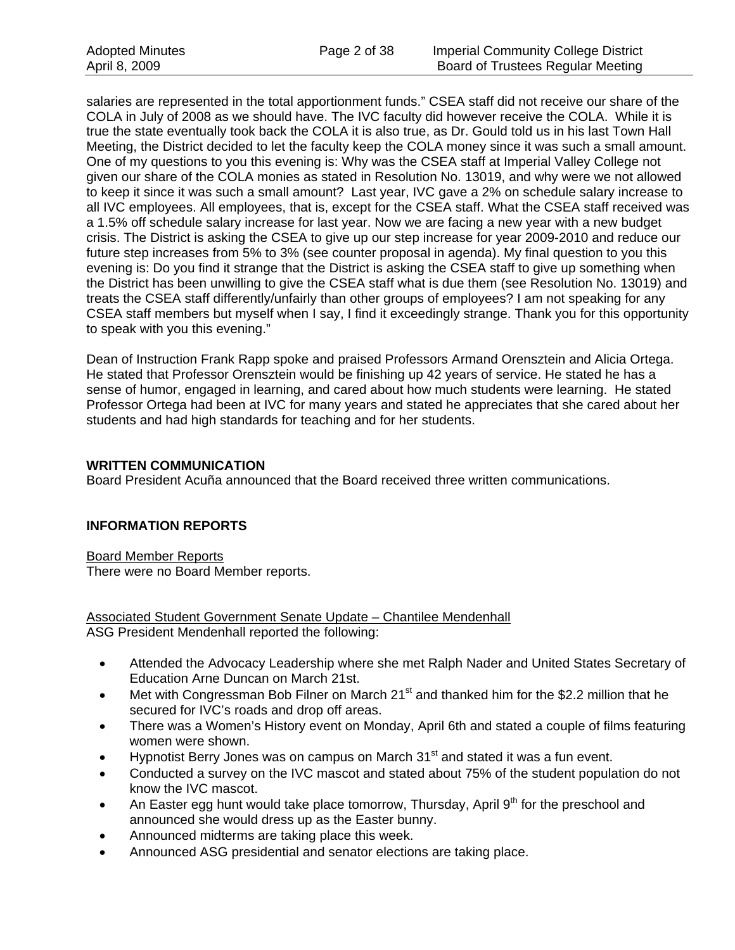salaries are represented in the total apportionment funds." CSEA staff did not receive our share of the COLA in July of 2008 as we should have. The IVC faculty did however receive the COLA. While it is true the state eventually took back the COLA it is also true, as Dr. Gould told us in his last Town Hall Meeting, the District decided to let the faculty keep the COLA money since it was such a small amount. One of my questions to you this evening is: Why was the CSEA staff at Imperial Valley College not given our share of the COLA monies as stated in Resolution No. 13019, and why were we not allowed to keep it since it was such a small amount? Last year, IVC gave a 2% on schedule salary increase to all IVC employees. All employees, that is, except for the CSEA staff. What the CSEA staff received was a 1.5% off schedule salary increase for last year. Now we are facing a new year with a new budget crisis. The District is asking the CSEA to give up our step increase for year 2009-2010 and reduce our future step increases from 5% to 3% (see counter proposal in agenda). My final question to you this evening is: Do you find it strange that the District is asking the CSEA staff to give up something when the District has been unwilling to give the CSEA staff what is due them (see Resolution No. 13019) and treats the CSEA staff differently/unfairly than other groups of employees? I am not speaking for any CSEA staff members but myself when I say, I find it exceedingly strange. Thank you for this opportunity to speak with you this evening."

Dean of Instruction Frank Rapp spoke and praised Professors Armand Orensztein and Alicia Ortega. He stated that Professor Orensztein would be finishing up 42 years of service. He stated he has a sense of humor, engaged in learning, and cared about how much students were learning. He stated Professor Ortega had been at IVC for many years and stated he appreciates that she cared about her students and had high standards for teaching and for her students.

## **WRITTEN COMMUNICATION**

Board President Acuña announced that the Board received three written communications.

## **INFORMATION REPORTS**

Board Member Reports There were no Board Member reports.

Associated Student Government Senate Update – Chantilee Mendenhall ASG President Mendenhall reported the following:

- Attended the Advocacy Leadership where she met Ralph Nader and United States Secretary of Education Arne Duncan on March 21st.
- Met with Congressman Bob Filner on March  $21<sup>st</sup>$  and thanked him for the \$2.2 million that he secured for IVC's roads and drop off areas.
- There was a Women's History event on Monday, April 6th and stated a couple of films featuring women were shown.
- Hypnotist Berry Jones was on campus on March 31<sup>st</sup> and stated it was a fun event.
- Conducted a survey on the IVC mascot and stated about 75% of the student population do not know the IVC mascot.
- An Easter egg hunt would take place tomorrow, Thursday, April  $9<sup>th</sup>$  for the preschool and announced she would dress up as the Easter bunny.
- Announced midterms are taking place this week.
- Announced ASG presidential and senator elections are taking place.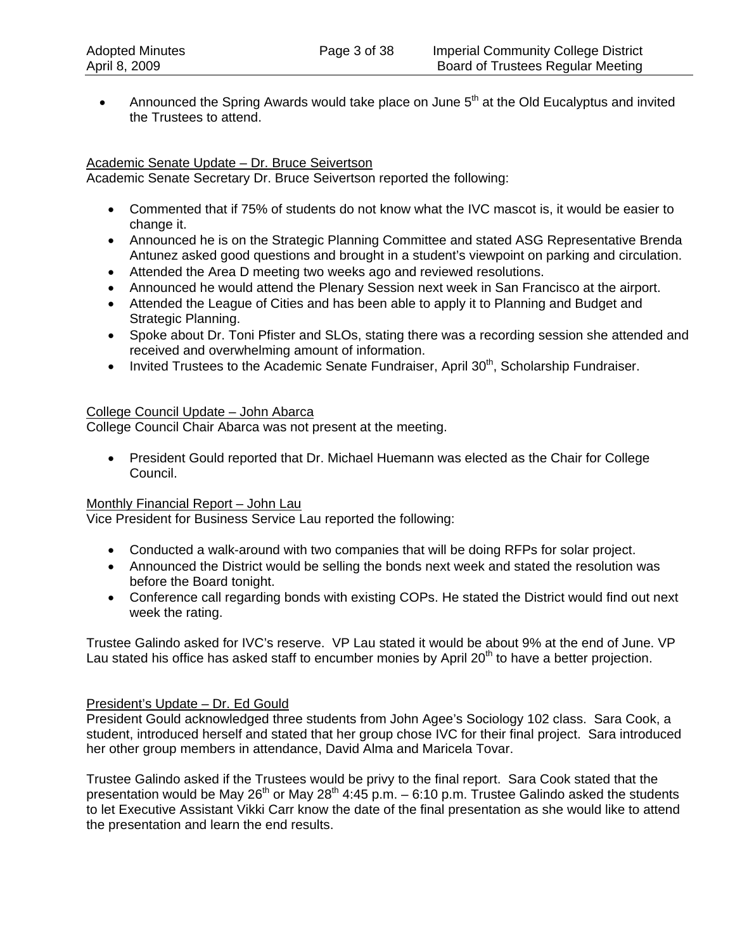• Announced the Spring Awards would take place on June  $5<sup>th</sup>$  at the Old Eucalyptus and invited the Trustees to attend.

## Academic Senate Update – Dr. Bruce Seivertson

Academic Senate Secretary Dr. Bruce Seivertson reported the following:

- Commented that if 75% of students do not know what the IVC mascot is, it would be easier to change it.
- Announced he is on the Strategic Planning Committee and stated ASG Representative Brenda Antunez asked good questions and brought in a student's viewpoint on parking and circulation.
- Attended the Area D meeting two weeks ago and reviewed resolutions.
- Announced he would attend the Plenary Session next week in San Francisco at the airport.
- Attended the League of Cities and has been able to apply it to Planning and Budget and Strategic Planning.
- Spoke about Dr. Toni Pfister and SLOs, stating there was a recording session she attended and received and overwhelming amount of information.
- Invited Trustees to the Academic Senate Fundraiser, April  $30<sup>th</sup>$ , Scholarship Fundraiser.

## College Council Update – John Abarca

College Council Chair Abarca was not present at the meeting.

• President Gould reported that Dr. Michael Huemann was elected as the Chair for College Council.

## Monthly Financial Report – John Lau

Vice President for Business Service Lau reported the following:

- Conducted a walk-around with two companies that will be doing RFPs for solar project.
- Announced the District would be selling the bonds next week and stated the resolution was before the Board tonight.
- Conference call regarding bonds with existing COPs. He stated the District would find out next week the rating.

Trustee Galindo asked for IVC's reserve. VP Lau stated it would be about 9% at the end of June. VP Lau stated his office has asked staff to encumber monies by April  $20<sup>th</sup>$  to have a better projection.

## President's Update – Dr. Ed Gould

President Gould acknowledged three students from John Agee's Sociology 102 class. Sara Cook, a student, introduced herself and stated that her group chose IVC for their final project. Sara introduced her other group members in attendance, David Alma and Maricela Tovar.

Trustee Galindo asked if the Trustees would be privy to the final report. Sara Cook stated that the presentation would be May 26<sup>th</sup> or May 28<sup>th</sup> 4:45 p.m. – 6:10 p.m. Trustee Galindo asked the students to let Executive Assistant Vikki Carr know the date of the final presentation as she would like to attend the presentation and learn the end results.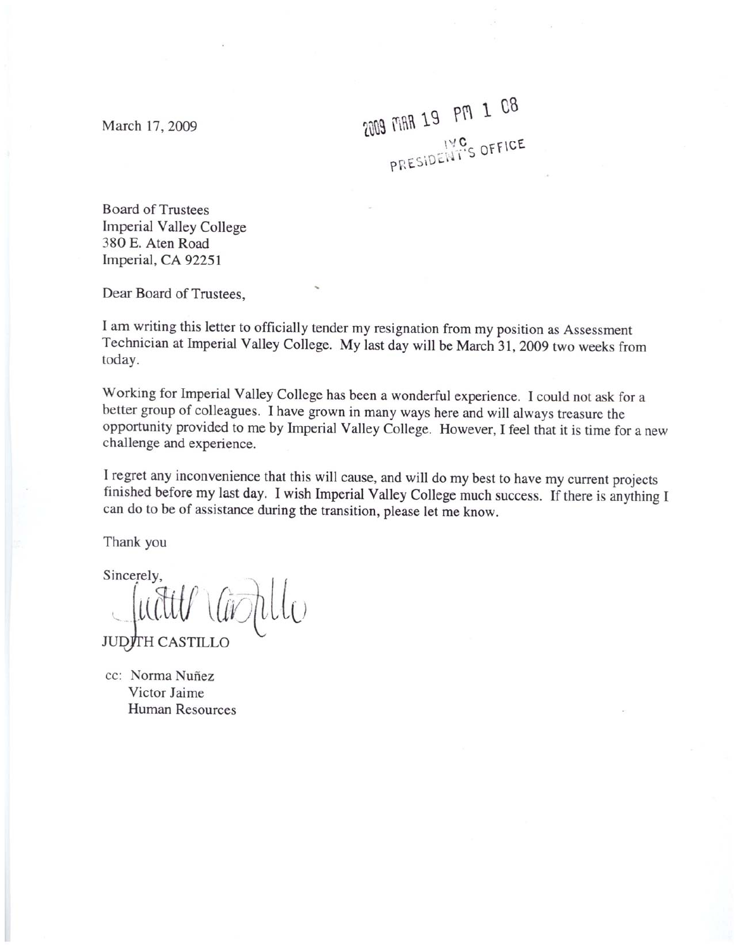March 17, 2009

2009 MAR 19 PM 1 08 PRESIDENT'S OFFICE

**Board of Trustees Imperial Valley College** 380 E. Aten Road Imperial, CA 92251

Dear Board of Trustees,

I am writing this letter to officially tender my resignation from my position as Assessment Technician at Imperial Valley College. My last day will be March 31, 2009 two weeks from today.

Working for Imperial Valley College has been a wonderful experience. I could not ask for a better group of colleagues. I have grown in many ways here and will always treasure the opportunity provided to me by Imperial Valley College. However, I feel that it is time for a new challenge and experience.

I regret any inconvenience that this will cause, and will do my best to have my current projects finished before my last day. I wish Imperial Valley College much success. If there is anything I can do to be of assistance during the transition, please let me know.

Thank you

Sincerely, llu **JUDITH CASTILLO** 

cc: Norma Nuñez Victor Jaime **Human Resources**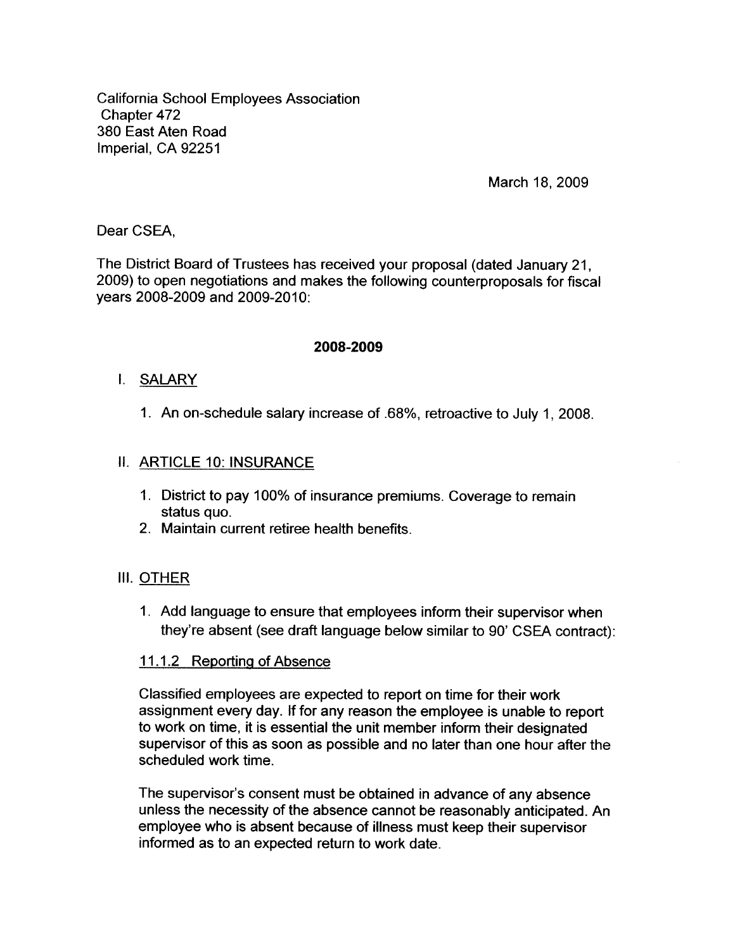**California School Employees Association** Chapter 472 380 East Aten Road Imperial, CA 92251

March 18, 2009

Dear CSEA.

The District Board of Trustees has received your proposal (dated January 21, 2009) to open negotiations and makes the following counterproposals for fiscal years 2008-2009 and 2009-2010:

## 2008-2009

## I. SALARY

1. An on-schedule salary increase of .68%, retroactive to July 1, 2008.

## II. ARTICLE 10: INSURANCE

- 1. District to pay 100% of insurance premiums. Coverage to remain status quo.
- 2. Maintain current retiree health benefits.

## III. OTHER

1. Add language to ensure that employees inform their supervisor when they're absent (see draft language below similar to 90' CSEA contract):

## 11.1.2 Reporting of Absence

Classified employees are expected to report on time for their work assignment every day. If for any reason the employee is unable to report to work on time, it is essential the unit member inform their designated supervisor of this as soon as possible and no later than one hour after the scheduled work time.

The supervisor's consent must be obtained in advance of any absence unless the necessity of the absence cannot be reasonably anticipated. An employee who is absent because of illness must keep their supervisor informed as to an expected return to work date.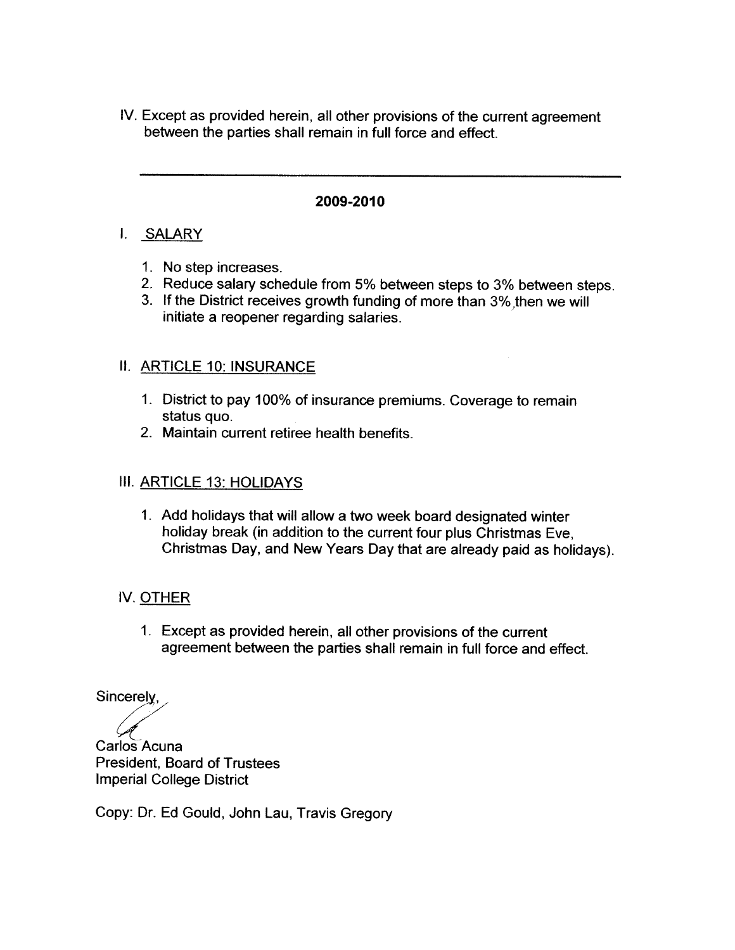IV. Except as provided herein, all other provisions of the current agreement between the parties shall remain in full force and effect.

## 2009-2010

## I. SALARY

- 1. No step increases.
- 2. Reduce salary schedule from 5% between steps to 3% between steps.
- 3. If the District receives growth funding of more than 3% then we will initiate a reopener regarding salaries.

# II. ARTICLE 10: INSURANCE

- 1. District to pay 100% of insurance premiums. Coverage to remain status quo.
- 2. Maintain current retiree health benefits.

# **III. ARTICLE 13: HOLIDAYS**

1. Add holidays that will allow a two week board designated winter holiday break (in addition to the current four plus Christmas Eve, Christmas Day, and New Years Day that are already paid as holidays).

# IV. OTHER

1. Except as provided herein, all other provisions of the current agreement between the parties shall remain in full force and effect.

Sincerely,

Carlos Acuna **President. Board of Trustees Imperial College District** 

Copy: Dr. Ed Gould, John Lau, Travis Gregory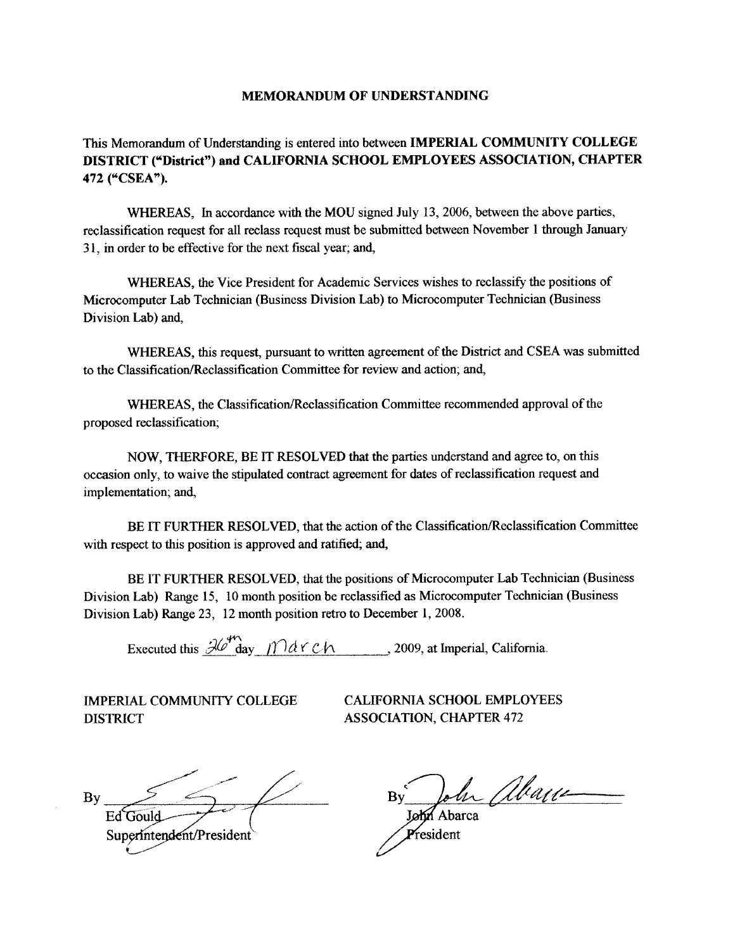#### **MEMORANDUM OF UNDERSTANDING**

This Memorandum of Understanding is entered into between IMPERIAL COMMUNITY COLLEGE DISTRICT ("District") and CALIFORNIA SCHOOL EMPLOYEES ASSOCIATION, CHAPTER 472 ("CSEA").

WHEREAS, In accordance with the MOU signed July 13, 2006, between the above parties, reclassification request for all reclass request must be submitted between November 1 through January 31, in order to be effective for the next fiscal year; and,

WHEREAS, the Vice President for Academic Services wishes to reclassify the positions of Microcomputer Lab Technician (Business Division Lab) to Microcomputer Technician (Business Division Lab) and,

WHEREAS, this request, pursuant to written agreement of the District and CSEA was submitted to the Classification/Reclassification Committee for review and action; and,

WHEREAS, the Classification/Reclassification Committee recommended approval of the proposed reclassification;

NOW, THERFORE, BE IT RESOLVED that the parties understand and agree to, on this occasion only, to waive the stipulated contract agreement for dates of reclassification request and implementation; and,

BE IT FURTHER RESOLVED, that the action of the Classification/Reclassification Committee with respect to this position is approved and ratified; and,

BE IT FURTHER RESOLVED, that the positions of Microcomputer Lab Technician (Business Division Lab) Range 15, 10 month position be reclassified as Microcomputer Technician (Business Division Lab) Range 23, 12 month position retro to December 1, 2008.

Executed this  $\frac{\partial U^{\mu\nu}}{\partial \alpha}$   $\mathcal{U}$   $\mathcal{U}^{\alpha}$   $\alpha$   $\alpha$   $\beta$   $\alpha$   $\beta$   $\alpha$   $\beta$   $\alpha$   $\beta$   $\alpha$   $\beta$   $\beta$   $\alpha$   $\beta$   $\alpha$   $\beta$   $\beta$   $\alpha$   $\beta$   $\alpha$   $\beta$   $\beta$   $\alpha$   $\beta$   $\alpha$   $\beta$   $\alpha$   $\beta$   $\alpha$   $\beta$   $\alpha$   $\beta$   $\alpha$ 

**IMPERIAL COMMUNITY COLLEGE DISTRICT** 

**CALIFORNIA SCHOOL EMPLOYEES ASSOCIATION, CHAPTER 472** 

 $\mathbf{B} \mathbf{y}$ Ed Gould Superintendent/President

John abrill

 $P$ resident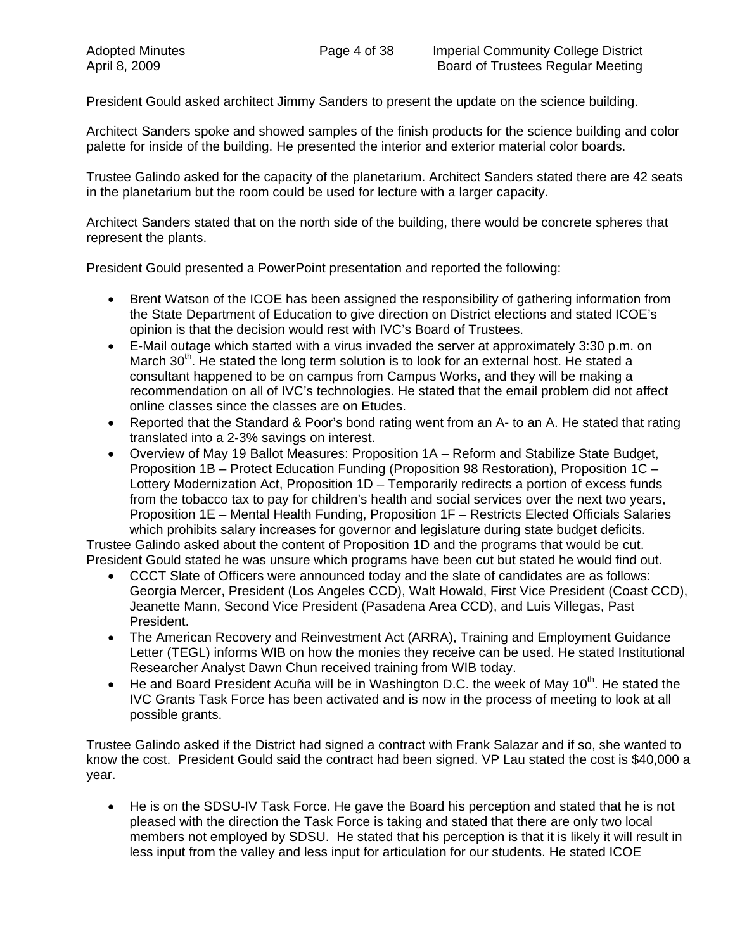President Gould asked architect Jimmy Sanders to present the update on the science building.

Architect Sanders spoke and showed samples of the finish products for the science building and color palette for inside of the building. He presented the interior and exterior material color boards.

Trustee Galindo asked for the capacity of the planetarium. Architect Sanders stated there are 42 seats in the planetarium but the room could be used for lecture with a larger capacity.

Architect Sanders stated that on the north side of the building, there would be concrete spheres that represent the plants.

President Gould presented a PowerPoint presentation and reported the following:

- Brent Watson of the ICOE has been assigned the responsibility of gathering information from the State Department of Education to give direction on District elections and stated ICOE's opinion is that the decision would rest with IVC's Board of Trustees.
- E-Mail outage which started with a virus invaded the server at approximately 3:30 p.m. on March  $30<sup>th</sup>$ . He stated the long term solution is to look for an external host. He stated a consultant happened to be on campus from Campus Works, and they will be making a recommendation on all of IVC's technologies. He stated that the email problem did not affect online classes since the classes are on Etudes.
- Reported that the Standard & Poor's bond rating went from an A- to an A. He stated that rating translated into a 2-3% savings on interest.
- Overview of May 19 Ballot Measures: Proposition 1A Reform and Stabilize State Budget, Proposition 1B – Protect Education Funding (Proposition 98 Restoration), Proposition 1C – Lottery Modernization Act, Proposition 1D – Temporarily redirects a portion of excess funds from the tobacco tax to pay for children's health and social services over the next two years, Proposition 1E – Mental Health Funding, Proposition 1F – Restricts Elected Officials Salaries which prohibits salary increases for governor and legislature during state budget deficits.

Trustee Galindo asked about the content of Proposition 1D and the programs that would be cut. President Gould stated he was unsure which programs have been cut but stated he would find out.

- CCCT Slate of Officers were announced today and the slate of candidates are as follows: Georgia Mercer, President (Los Angeles CCD), Walt Howald, First Vice President (Coast CCD), Jeanette Mann, Second Vice President (Pasadena Area CCD), and Luis Villegas, Past President.
- The American Recovery and Reinvestment Act (ARRA), Training and Employment Guidance Letter (TEGL) informs WIB on how the monies they receive can be used. He stated Institutional Researcher Analyst Dawn Chun received training from WIB today.
- He and Board President Acuña will be in Washington D.C. the week of May 10<sup>th</sup>. He stated the IVC Grants Task Force has been activated and is now in the process of meeting to look at all possible grants.

Trustee Galindo asked if the District had signed a contract with Frank Salazar and if so, she wanted to know the cost. President Gould said the contract had been signed. VP Lau stated the cost is \$40,000 a year.

• He is on the SDSU-IV Task Force. He gave the Board his perception and stated that he is not pleased with the direction the Task Force is taking and stated that there are only two local members not employed by SDSU. He stated that his perception is that it is likely it will result in less input from the valley and less input for articulation for our students. He stated ICOE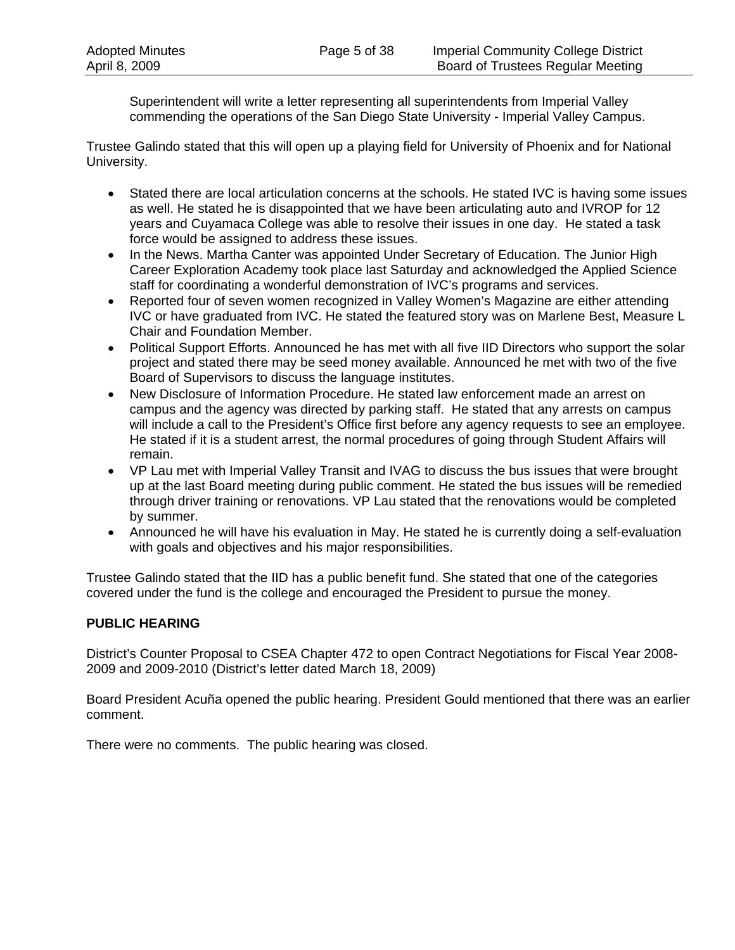Superintendent will write a letter representing all superintendents from Imperial Valley commending the operations of the San Diego State University - Imperial Valley Campus.

Trustee Galindo stated that this will open up a playing field for University of Phoenix and for National University.

- Stated there are local articulation concerns at the schools. He stated IVC is having some issues as well. He stated he is disappointed that we have been articulating auto and IVROP for 12 years and Cuyamaca College was able to resolve their issues in one day. He stated a task force would be assigned to address these issues.
- In the News. Martha Canter was appointed Under Secretary of Education. The Junior High Career Exploration Academy took place last Saturday and acknowledged the Applied Science staff for coordinating a wonderful demonstration of IVC's programs and services.
- Reported four of seven women recognized in Valley Women's Magazine are either attending IVC or have graduated from IVC. He stated the featured story was on Marlene Best, Measure L Chair and Foundation Member.
- Political Support Efforts. Announced he has met with all five IID Directors who support the solar project and stated there may be seed money available. Announced he met with two of the five Board of Supervisors to discuss the language institutes.
- New Disclosure of Information Procedure. He stated law enforcement made an arrest on campus and the agency was directed by parking staff. He stated that any arrests on campus will include a call to the President's Office first before any agency requests to see an employee. He stated if it is a student arrest, the normal procedures of going through Student Affairs will remain.
- VP Lau met with Imperial Valley Transit and IVAG to discuss the bus issues that were brought up at the last Board meeting during public comment. He stated the bus issues will be remedied through driver training or renovations. VP Lau stated that the renovations would be completed by summer.
- Announced he will have his evaluation in May. He stated he is currently doing a self-evaluation with goals and objectives and his major responsibilities.

Trustee Galindo stated that the IID has a public benefit fund. She stated that one of the categories covered under the fund is the college and encouraged the President to pursue the money.

## **PUBLIC HEARING**

District's Counter Proposal to CSEA Chapter 472 to open Contract Negotiations for Fiscal Year 2008- 2009 and 2009-2010 (District's letter dated March 18, 2009)

Board President Acuña opened the public hearing. President Gould mentioned that there was an earlier comment.

There were no comments. The public hearing was closed.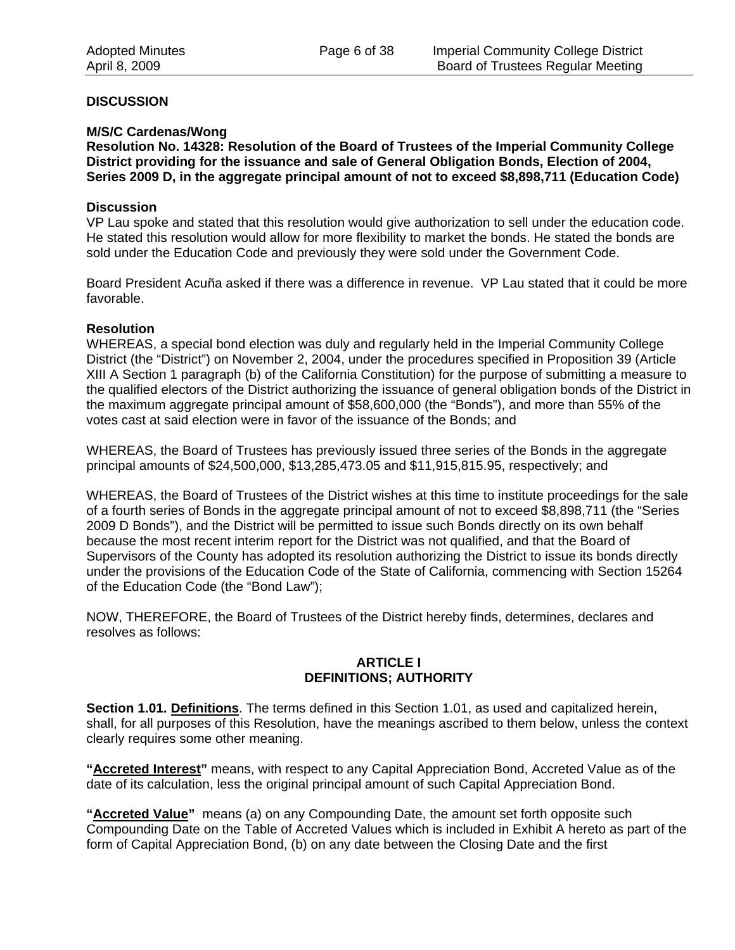#### **DISCUSSION**

#### **M/S/C Cardenas/Wong**

**Resolution No. 14328: Resolution of the Board of Trustees of the Imperial Community College District providing for the issuance and sale of General Obligation Bonds, Election of 2004, Series 2009 D, in the aggregate principal amount of not to exceed \$8,898,711 (Education Code)** 

#### **Discussion**

VP Lau spoke and stated that this resolution would give authorization to sell under the education code. He stated this resolution would allow for more flexibility to market the bonds. He stated the bonds are sold under the Education Code and previously they were sold under the Government Code.

Board President Acuña asked if there was a difference in revenue. VP Lau stated that it could be more favorable.

#### **Resolution**

WHEREAS, a special bond election was duly and regularly held in the Imperial Community College District (the "District") on November 2, 2004, under the procedures specified in Proposition 39 (Article XIII A Section 1 paragraph (b) of the California Constitution) for the purpose of submitting a measure to the qualified electors of the District authorizing the issuance of general obligation bonds of the District in the maximum aggregate principal amount of \$58,600,000 (the "Bonds"), and more than 55% of the votes cast at said election were in favor of the issuance of the Bonds; and

WHEREAS, the Board of Trustees has previously issued three series of the Bonds in the aggregate principal amounts of \$24,500,000, \$13,285,473.05 and \$11,915,815.95, respectively; and

WHEREAS, the Board of Trustees of the District wishes at this time to institute proceedings for the sale of a fourth series of Bonds in the aggregate principal amount of not to exceed \$8,898,711 (the "Series 2009 D Bonds"), and the District will be permitted to issue such Bonds directly on its own behalf because the most recent interim report for the District was not qualified, and that the Board of Supervisors of the County has adopted its resolution authorizing the District to issue its bonds directly under the provisions of the Education Code of the State of California, commencing with Section 15264 of the Education Code (the "Bond Law");

NOW, THEREFORE, the Board of Trustees of the District hereby finds, determines, declares and resolves as follows:

#### **ARTICLE I DEFINITIONS; AUTHORITY**

**Section 1.01. Definitions**. The terms defined in this Section 1.01, as used and capitalized herein, shall, for all purposes of this Resolution, have the meanings ascribed to them below, unless the context clearly requires some other meaning.

**"Accreted Interest"** means, with respect to any Capital Appreciation Bond, Accreted Value as of the date of its calculation, less the original principal amount of such Capital Appreciation Bond.

**"Accreted Value"** means (a) on any Compounding Date, the amount set forth opposite such Compounding Date on the Table of Accreted Values which is included in Exhibit A hereto as part of the form of Capital Appreciation Bond, (b) on any date between the Closing Date and the first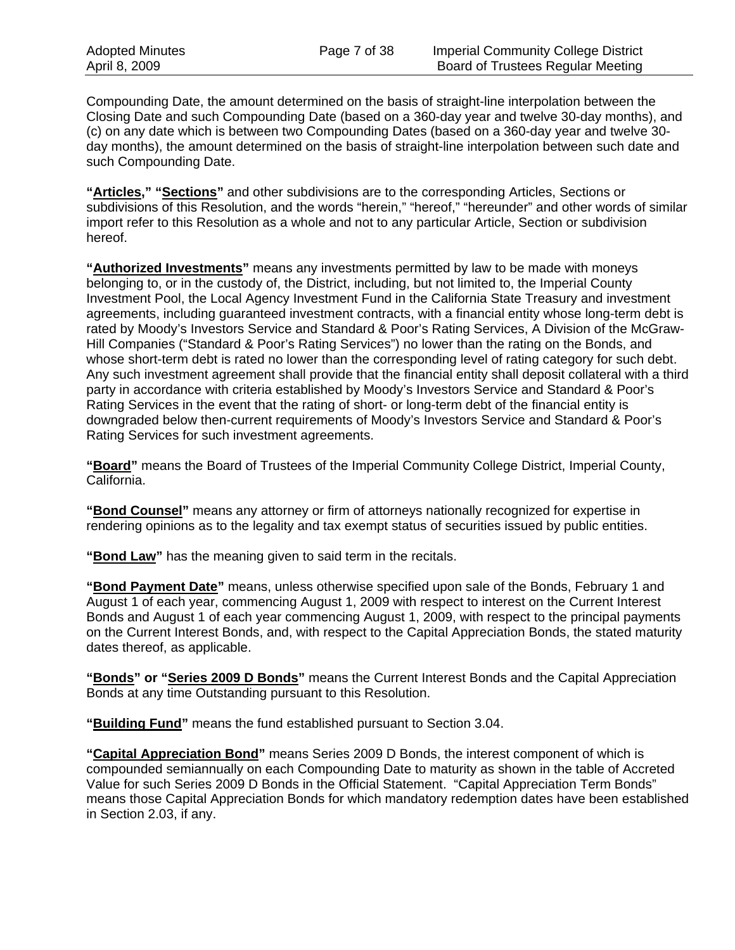Compounding Date, the amount determined on the basis of straight-line interpolation between the Closing Date and such Compounding Date (based on a 360-day year and twelve 30-day months), and (c) on any date which is between two Compounding Dates (based on a 360-day year and twelve 30 day months), the amount determined on the basis of straight-line interpolation between such date and such Compounding Date.

**"Articles," "Sections"** and other subdivisions are to the corresponding Articles, Sections or subdivisions of this Resolution, and the words "herein," "hereof," "hereunder" and other words of similar import refer to this Resolution as a whole and not to any particular Article, Section or subdivision hereof.

**"Authorized Investments"** means any investments permitted by law to be made with moneys belonging to, or in the custody of, the District, including, but not limited to, the Imperial County Investment Pool, the Local Agency Investment Fund in the California State Treasury and investment agreements, including guaranteed investment contracts, with a financial entity whose long-term debt is rated by Moody's Investors Service and Standard & Poor's Rating Services, A Division of the McGraw-Hill Companies ("Standard & Poor's Rating Services") no lower than the rating on the Bonds, and whose short-term debt is rated no lower than the corresponding level of rating category for such debt. Any such investment agreement shall provide that the financial entity shall deposit collateral with a third party in accordance with criteria established by Moody's Investors Service and Standard & Poor's Rating Services in the event that the rating of short- or long-term debt of the financial entity is downgraded below then-current requirements of Moody's Investors Service and Standard & Poor's Rating Services for such investment agreements.

**"Board"** means the Board of Trustees of the Imperial Community College District, Imperial County, California.

**"Bond Counsel"** means any attorney or firm of attorneys nationally recognized for expertise in rendering opinions as to the legality and tax exempt status of securities issued by public entities.

**"Bond Law"** has the meaning given to said term in the recitals.

**"Bond Payment Date"** means, unless otherwise specified upon sale of the Bonds, February 1 and August 1 of each year, commencing August 1, 2009 with respect to interest on the Current Interest Bonds and August 1 of each year commencing August 1, 2009, with respect to the principal payments on the Current Interest Bonds, and, with respect to the Capital Appreciation Bonds, the stated maturity dates thereof, as applicable.

**"Bonds" or "Series 2009 D Bonds"** means the Current Interest Bonds and the Capital Appreciation Bonds at any time Outstanding pursuant to this Resolution.

**"Building Fund"** means the fund established pursuant to Section 3.04.

**"Capital Appreciation Bond"** means Series 2009 D Bonds, the interest component of which is compounded semiannually on each Compounding Date to maturity as shown in the table of Accreted Value for such Series 2009 D Bonds in the Official Statement. "Capital Appreciation Term Bonds" means those Capital Appreciation Bonds for which mandatory redemption dates have been established in Section 2.03, if any.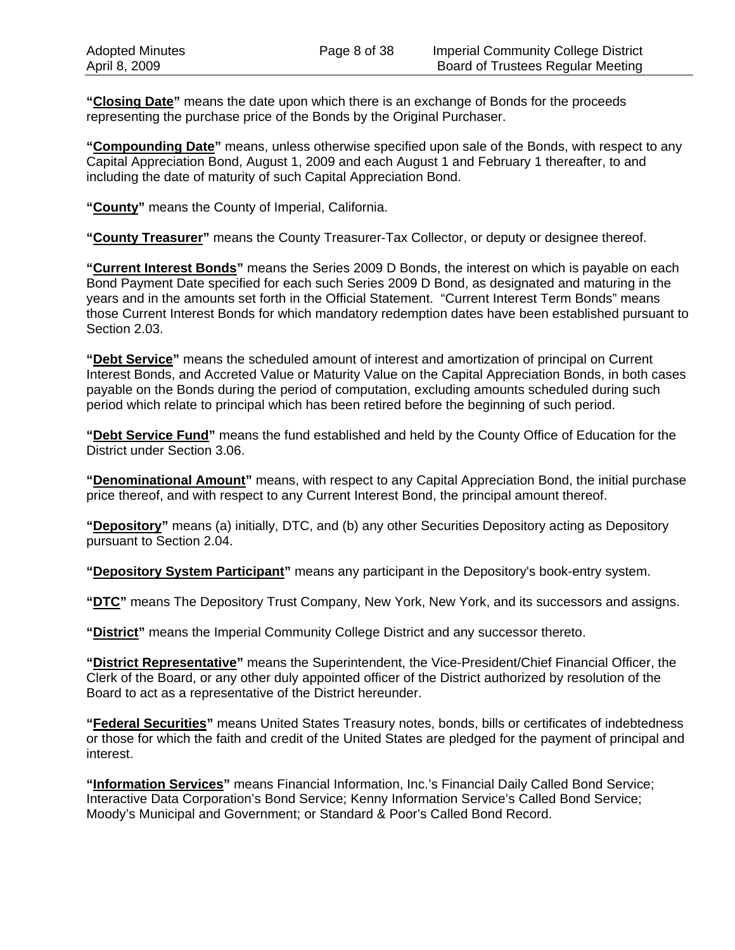**"Closing Date"** means the date upon which there is an exchange of Bonds for the proceeds representing the purchase price of the Bonds by the Original Purchaser.

**"Compounding Date"** means, unless otherwise specified upon sale of the Bonds, with respect to any Capital Appreciation Bond, August 1, 2009 and each August 1 and February 1 thereafter, to and including the date of maturity of such Capital Appreciation Bond.

**"County"** means the County of Imperial, California.

**"County Treasurer"** means the County Treasurer-Tax Collector, or deputy or designee thereof.

**"Current Interest Bonds"** means the Series 2009 D Bonds, the interest on which is payable on each Bond Payment Date specified for each such Series 2009 D Bond, as designated and maturing in the years and in the amounts set forth in the Official Statement. "Current Interest Term Bonds" means those Current Interest Bonds for which mandatory redemption dates have been established pursuant to Section 2.03.

**"Debt Service"** means the scheduled amount of interest and amortization of principal on Current Interest Bonds, and Accreted Value or Maturity Value on the Capital Appreciation Bonds, in both cases payable on the Bonds during the period of computation, excluding amounts scheduled during such period which relate to principal which has been retired before the beginning of such period.

**"Debt Service Fund"** means the fund established and held by the County Office of Education for the District under Section 3.06.

**"Denominational Amount"** means, with respect to any Capital Appreciation Bond, the initial purchase price thereof, and with respect to any Current Interest Bond, the principal amount thereof.

**"Depository"** means (a) initially, DTC, and (b) any other Securities Depository acting as Depository pursuant to Section 2.04.

**"Depository System Participant"** means any participant in the Depository's book-entry system.

**"DTC"** means The Depository Trust Company, New York, New York, and its successors and assigns.

**"District"** means the Imperial Community College District and any successor thereto.

**"District Representative"** means the Superintendent, the Vice-President/Chief Financial Officer, the Clerk of the Board, or any other duly appointed officer of the District authorized by resolution of the Board to act as a representative of the District hereunder.

**"Federal Securities"** means United States Treasury notes, bonds, bills or certificates of indebtedness or those for which the faith and credit of the United States are pledged for the payment of principal and interest.

**"Information Services"** means Financial Information, Inc.'s Financial Daily Called Bond Service; Interactive Data Corporation's Bond Service; Kenny Information Service's Called Bond Service; Moody's Municipal and Government; or Standard & Poor's Called Bond Record.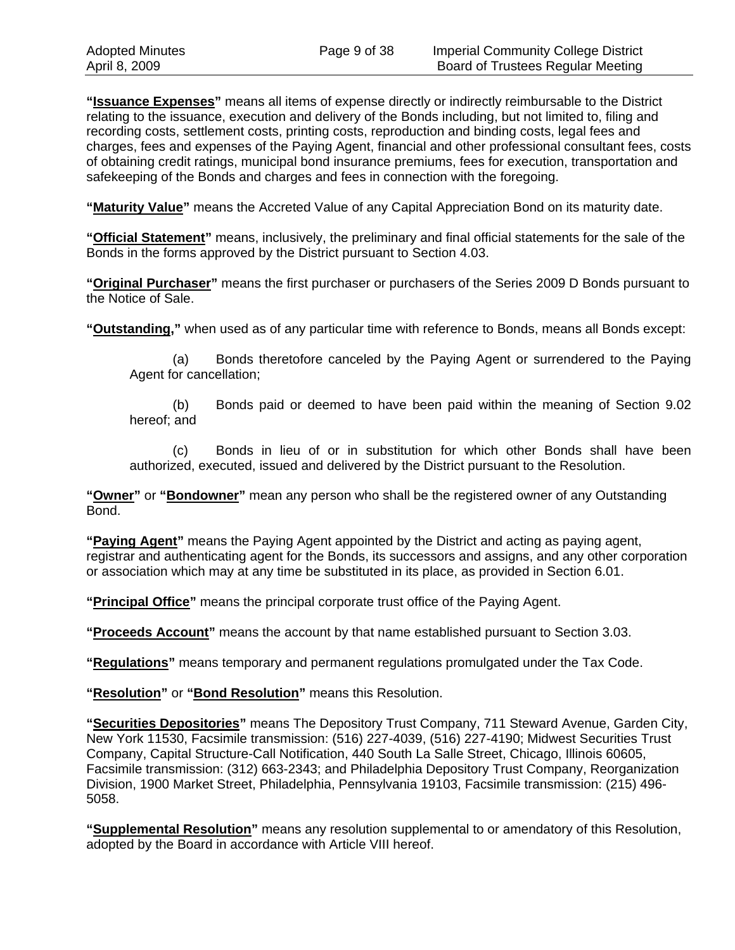**"Issuance Expenses"** means all items of expense directly or indirectly reimbursable to the District relating to the issuance, execution and delivery of the Bonds including, but not limited to, filing and recording costs, settlement costs, printing costs, reproduction and binding costs, legal fees and charges, fees and expenses of the Paying Agent, financial and other professional consultant fees, costs of obtaining credit ratings, municipal bond insurance premiums, fees for execution, transportation and safekeeping of the Bonds and charges and fees in connection with the foregoing.

**"Maturity Value"** means the Accreted Value of any Capital Appreciation Bond on its maturity date.

**"Official Statement"** means, inclusively, the preliminary and final official statements for the sale of the Bonds in the forms approved by the District pursuant to Section 4.03.

**"Original Purchaser"** means the first purchaser or purchasers of the Series 2009 D Bonds pursuant to the Notice of Sale.

**"Outstanding,"** when used as of any particular time with reference to Bonds, means all Bonds except:

(a) Bonds theretofore canceled by the Paying Agent or surrendered to the Paying Agent for cancellation;

(b) Bonds paid or deemed to have been paid within the meaning of Section 9.02 hereof; and

(c) Bonds in lieu of or in substitution for which other Bonds shall have been authorized, executed, issued and delivered by the District pursuant to the Resolution.

**"Owner"** or **"Bondowner"** mean any person who shall be the registered owner of any Outstanding Bond.

**"Paying Agent"** means the Paying Agent appointed by the District and acting as paying agent, registrar and authenticating agent for the Bonds, its successors and assigns, and any other corporation or association which may at any time be substituted in its place, as provided in Section 6.01.

**"Principal Office"** means the principal corporate trust office of the Paying Agent.

**"Proceeds Account"** means the account by that name established pursuant to Section 3.03.

**"Regulations"** means temporary and permanent regulations promulgated under the Tax Code.

**"Resolution"** or **"Bond Resolution"** means this Resolution.

**"Securities Depositories"** means The Depository Trust Company, 711 Steward Avenue, Garden City, New York 11530, Facsimile transmission: (516) 227-4039, (516) 227-4190; Midwest Securities Trust Company, Capital Structure-Call Notification, 440 South La Salle Street, Chicago, Illinois 60605, Facsimile transmission: (312) 663-2343; and Philadelphia Depository Trust Company, Reorganization Division, 1900 Market Street, Philadelphia, Pennsylvania 19103, Facsimile transmission: (215) 496- 5058.

**"Supplemental Resolution"** means any resolution supplemental to or amendatory of this Resolution, adopted by the Board in accordance with Article VIII hereof.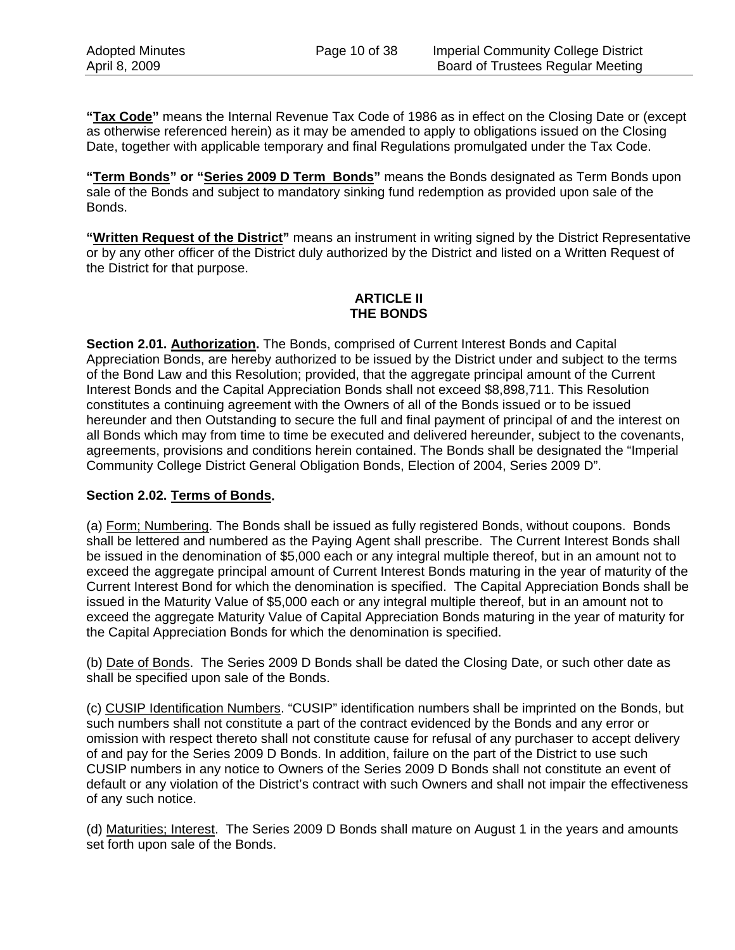**"Tax Code"** means the Internal Revenue Tax Code of 1986 as in effect on the Closing Date or (except as otherwise referenced herein) as it may be amended to apply to obligations issued on the Closing Date, together with applicable temporary and final Regulations promulgated under the Tax Code.

**"Term Bonds" or "Series 2009 D Term Bonds"** means the Bonds designated as Term Bonds upon sale of the Bonds and subject to mandatory sinking fund redemption as provided upon sale of the Bonds.

**"Written Request of the District"** means an instrument in writing signed by the District Representative or by any other officer of the District duly authorized by the District and listed on a Written Request of the District for that purpose.

## **ARTICLE II THE BONDS**

**Section 2.01. Authorization.** The Bonds, comprised of Current Interest Bonds and Capital Appreciation Bonds, are hereby authorized to be issued by the District under and subject to the terms of the Bond Law and this Resolution; provided, that the aggregate principal amount of the Current Interest Bonds and the Capital Appreciation Bonds shall not exceed \$8,898,711. This Resolution constitutes a continuing agreement with the Owners of all of the Bonds issued or to be issued hereunder and then Outstanding to secure the full and final payment of principal of and the interest on all Bonds which may from time to time be executed and delivered hereunder, subject to the covenants, agreements, provisions and conditions herein contained. The Bonds shall be designated the "Imperial Community College District General Obligation Bonds, Election of 2004, Series 2009 D".

## **Section 2.02. Terms of Bonds.**

(a) Form; Numbering. The Bonds shall be issued as fully registered Bonds, without coupons. Bonds shall be lettered and numbered as the Paying Agent shall prescribe. The Current Interest Bonds shall be issued in the denomination of \$5,000 each or any integral multiple thereof, but in an amount not to exceed the aggregate principal amount of Current Interest Bonds maturing in the year of maturity of the Current Interest Bond for which the denomination is specified. The Capital Appreciation Bonds shall be issued in the Maturity Value of \$5,000 each or any integral multiple thereof, but in an amount not to exceed the aggregate Maturity Value of Capital Appreciation Bonds maturing in the year of maturity for the Capital Appreciation Bonds for which the denomination is specified.

(b) Date of Bonds. The Series 2009 D Bonds shall be dated the Closing Date, or such other date as shall be specified upon sale of the Bonds.

(c) CUSIP Identification Numbers. "CUSIP" identification numbers shall be imprinted on the Bonds, but such numbers shall not constitute a part of the contract evidenced by the Bonds and any error or omission with respect thereto shall not constitute cause for refusal of any purchaser to accept delivery of and pay for the Series 2009 D Bonds. In addition, failure on the part of the District to use such CUSIP numbers in any notice to Owners of the Series 2009 D Bonds shall not constitute an event of default or any violation of the District's contract with such Owners and shall not impair the effectiveness of any such notice.

(d) Maturities; Interest. The Series 2009 D Bonds shall mature on August 1 in the years and amounts set forth upon sale of the Bonds.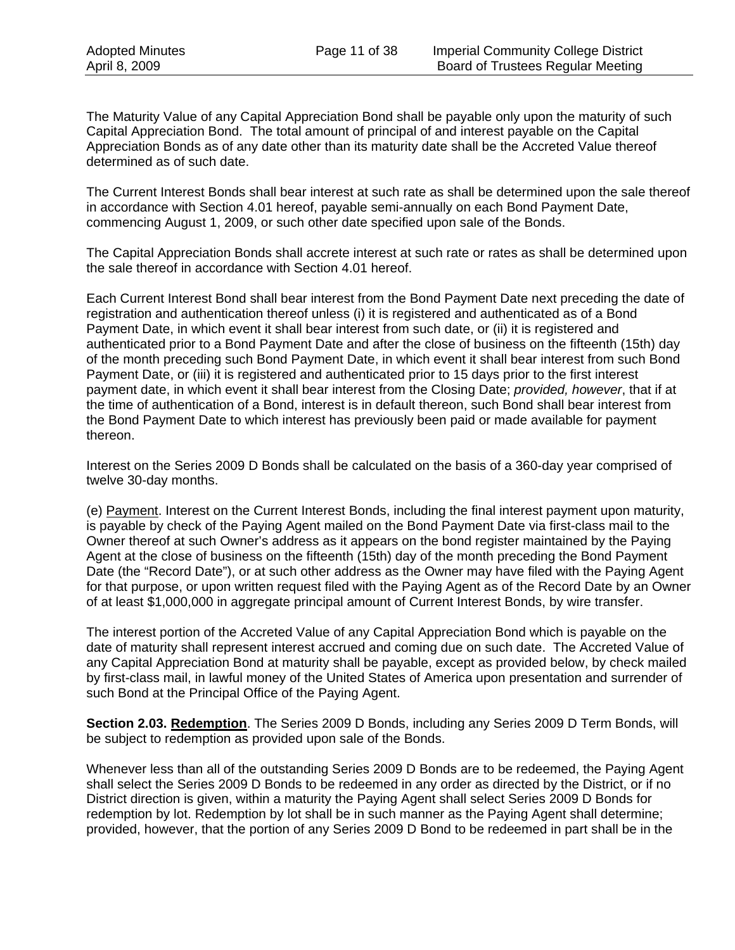The Maturity Value of any Capital Appreciation Bond shall be payable only upon the maturity of such Capital Appreciation Bond. The total amount of principal of and interest payable on the Capital Appreciation Bonds as of any date other than its maturity date shall be the Accreted Value thereof determined as of such date.

The Current Interest Bonds shall bear interest at such rate as shall be determined upon the sale thereof in accordance with Section 4.01 hereof, payable semi-annually on each Bond Payment Date, commencing August 1, 2009, or such other date specified upon sale of the Bonds.

The Capital Appreciation Bonds shall accrete interest at such rate or rates as shall be determined upon the sale thereof in accordance with Section 4.01 hereof.

Each Current Interest Bond shall bear interest from the Bond Payment Date next preceding the date of registration and authentication thereof unless (i) it is registered and authenticated as of a Bond Payment Date, in which event it shall bear interest from such date, or (ii) it is registered and authenticated prior to a Bond Payment Date and after the close of business on the fifteenth (15th) day of the month preceding such Bond Payment Date, in which event it shall bear interest from such Bond Payment Date, or (iii) it is registered and authenticated prior to 15 days prior to the first interest payment date, in which event it shall bear interest from the Closing Date; *provided, however*, that if at the time of authentication of a Bond, interest is in default thereon, such Bond shall bear interest from the Bond Payment Date to which interest has previously been paid or made available for payment thereon.

Interest on the Series 2009 D Bonds shall be calculated on the basis of a 360-day year comprised of twelve 30-day months.

(e) Payment. Interest on the Current Interest Bonds, including the final interest payment upon maturity, is payable by check of the Paying Agent mailed on the Bond Payment Date via first-class mail to the Owner thereof at such Owner's address as it appears on the bond register maintained by the Paying Agent at the close of business on the fifteenth (15th) day of the month preceding the Bond Payment Date (the "Record Date"), or at such other address as the Owner may have filed with the Paying Agent for that purpose, or upon written request filed with the Paying Agent as of the Record Date by an Owner of at least \$1,000,000 in aggregate principal amount of Current Interest Bonds, by wire transfer.

The interest portion of the Accreted Value of any Capital Appreciation Bond which is payable on the date of maturity shall represent interest accrued and coming due on such date. The Accreted Value of any Capital Appreciation Bond at maturity shall be payable, except as provided below, by check mailed by first-class mail, in lawful money of the United States of America upon presentation and surrender of such Bond at the Principal Office of the Paying Agent.

**Section 2.03. Redemption**. The Series 2009 D Bonds, including any Series 2009 D Term Bonds, will be subject to redemption as provided upon sale of the Bonds.

Whenever less than all of the outstanding Series 2009 D Bonds are to be redeemed, the Paying Agent shall select the Series 2009 D Bonds to be redeemed in any order as directed by the District, or if no District direction is given, within a maturity the Paying Agent shall select Series 2009 D Bonds for redemption by lot. Redemption by lot shall be in such manner as the Paying Agent shall determine; provided, however, that the portion of any Series 2009 D Bond to be redeemed in part shall be in the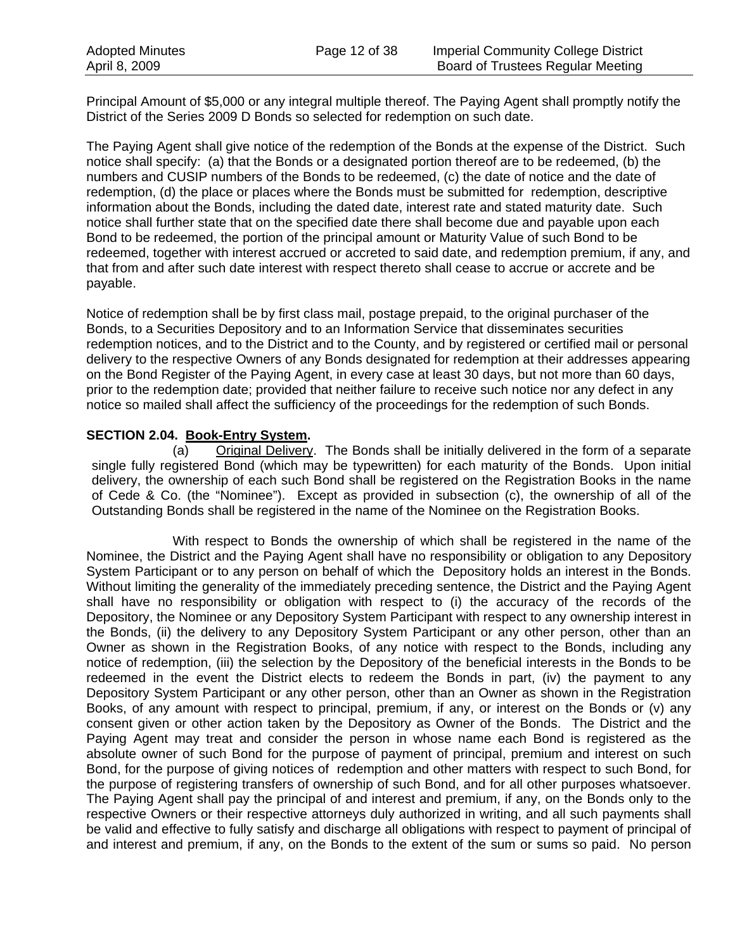Principal Amount of \$5,000 or any integral multiple thereof. The Paying Agent shall promptly notify the District of the Series 2009 D Bonds so selected for redemption on such date.

The Paying Agent shall give notice of the redemption of the Bonds at the expense of the District. Such notice shall specify: (a) that the Bonds or a designated portion thereof are to be redeemed, (b) the numbers and CUSIP numbers of the Bonds to be redeemed, (c) the date of notice and the date of redemption, (d) the place or places where the Bonds must be submitted for redemption, descriptive information about the Bonds, including the dated date, interest rate and stated maturity date. Such notice shall further state that on the specified date there shall become due and payable upon each Bond to be redeemed, the portion of the principal amount or Maturity Value of such Bond to be redeemed, together with interest accrued or accreted to said date, and redemption premium, if any, and that from and after such date interest with respect thereto shall cease to accrue or accrete and be payable.

Notice of redemption shall be by first class mail, postage prepaid, to the original purchaser of the Bonds, to a Securities Depository and to an Information Service that disseminates securities redemption notices, and to the District and to the County, and by registered or certified mail or personal delivery to the respective Owners of any Bonds designated for redemption at their addresses appearing on the Bond Register of the Paying Agent, in every case at least 30 days, but not more than 60 days, prior to the redemption date; provided that neither failure to receive such notice nor any defect in any notice so mailed shall affect the sufficiency of the proceedings for the redemption of such Bonds.

## **SECTION 2.04. Book-Entry System.**

(a) Original Delivery. The Bonds shall be initially delivered in the form of a separate single fully registered Bond (which may be typewritten) for each maturity of the Bonds. Upon initial delivery, the ownership of each such Bond shall be registered on the Registration Books in the name of Cede & Co. (the "Nominee"). Except as provided in subsection (c), the ownership of all of the Outstanding Bonds shall be registered in the name of the Nominee on the Registration Books.

With respect to Bonds the ownership of which shall be registered in the name of the Nominee, the District and the Paying Agent shall have no responsibility or obligation to any Depository System Participant or to any person on behalf of which the Depository holds an interest in the Bonds. Without limiting the generality of the immediately preceding sentence, the District and the Paying Agent shall have no responsibility or obligation with respect to (i) the accuracy of the records of the Depository, the Nominee or any Depository System Participant with respect to any ownership interest in the Bonds, (ii) the delivery to any Depository System Participant or any other person, other than an Owner as shown in the Registration Books, of any notice with respect to the Bonds, including any notice of redemption, (iii) the selection by the Depository of the beneficial interests in the Bonds to be redeemed in the event the District elects to redeem the Bonds in part, (iv) the payment to any Depository System Participant or any other person, other than an Owner as shown in the Registration Books, of any amount with respect to principal, premium, if any, or interest on the Bonds or (v) any consent given or other action taken by the Depository as Owner of the Bonds. The District and the Paying Agent may treat and consider the person in whose name each Bond is registered as the absolute owner of such Bond for the purpose of payment of principal, premium and interest on such Bond, for the purpose of giving notices of redemption and other matters with respect to such Bond, for the purpose of registering transfers of ownership of such Bond, and for all other purposes whatsoever. The Paying Agent shall pay the principal of and interest and premium, if any, on the Bonds only to the respective Owners or their respective attorneys duly authorized in writing, and all such payments shall be valid and effective to fully satisfy and discharge all obligations with respect to payment of principal of and interest and premium, if any, on the Bonds to the extent of the sum or sums so paid. No person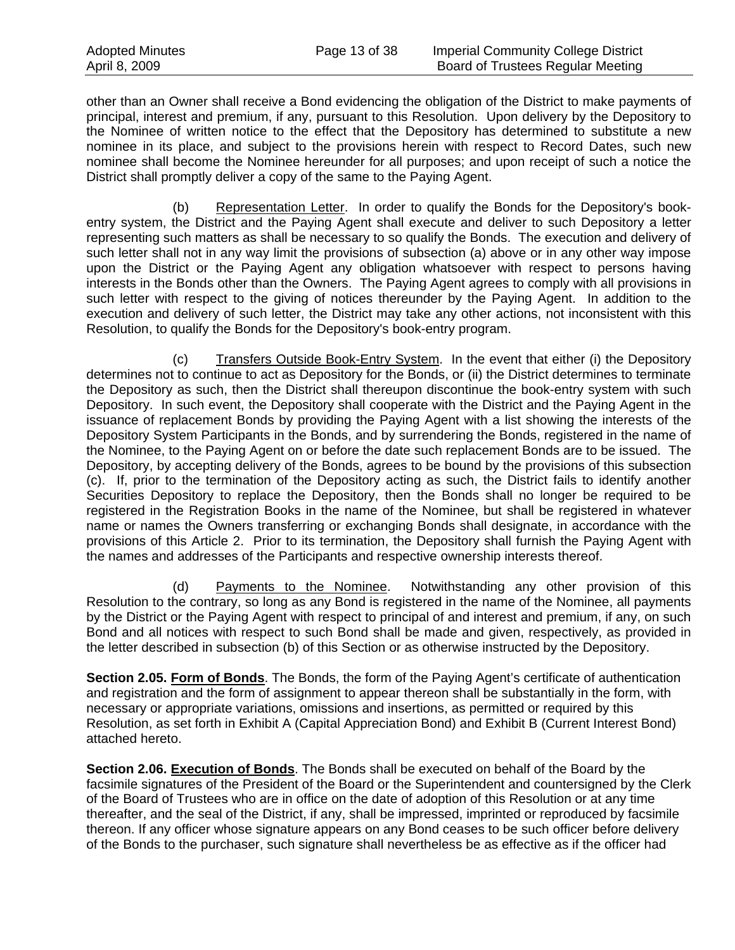other than an Owner shall receive a Bond evidencing the obligation of the District to make payments of principal, interest and premium, if any, pursuant to this Resolution. Upon delivery by the Depository to the Nominee of written notice to the effect that the Depository has determined to substitute a new nominee in its place, and subject to the provisions herein with respect to Record Dates, such new nominee shall become the Nominee hereunder for all purposes; and upon receipt of such a notice the District shall promptly deliver a copy of the same to the Paying Agent.

(b) Representation Letter. In order to qualify the Bonds for the Depository's bookentry system, the District and the Paying Agent shall execute and deliver to such Depository a letter representing such matters as shall be necessary to so qualify the Bonds. The execution and delivery of such letter shall not in any way limit the provisions of subsection (a) above or in any other way impose upon the District or the Paying Agent any obligation whatsoever with respect to persons having interests in the Bonds other than the Owners. The Paying Agent agrees to comply with all provisions in such letter with respect to the giving of notices thereunder by the Paying Agent. In addition to the execution and delivery of such letter, the District may take any other actions, not inconsistent with this Resolution, to qualify the Bonds for the Depository's book-entry program.

(c) Transfers Outside Book-Entry System. In the event that either (i) the Depository determines not to continue to act as Depository for the Bonds, or (ii) the District determines to terminate the Depository as such, then the District shall thereupon discontinue the book-entry system with such Depository. In such event, the Depository shall cooperate with the District and the Paying Agent in the issuance of replacement Bonds by providing the Paying Agent with a list showing the interests of the Depository System Participants in the Bonds, and by surrendering the Bonds, registered in the name of the Nominee, to the Paying Agent on or before the date such replacement Bonds are to be issued. The Depository, by accepting delivery of the Bonds, agrees to be bound by the provisions of this subsection (c). If, prior to the termination of the Depository acting as such, the District fails to identify another Securities Depository to replace the Depository, then the Bonds shall no longer be required to be registered in the Registration Books in the name of the Nominee, but shall be registered in whatever name or names the Owners transferring or exchanging Bonds shall designate, in accordance with the provisions of this Article 2. Prior to its termination, the Depository shall furnish the Paying Agent with the names and addresses of the Participants and respective ownership interests thereof.

(d) Payments to the Nominee. Notwithstanding any other provision of this Resolution to the contrary, so long as any Bond is registered in the name of the Nominee, all payments by the District or the Paying Agent with respect to principal of and interest and premium, if any, on such Bond and all notices with respect to such Bond shall be made and given, respectively, as provided in the letter described in subsection (b) of this Section or as otherwise instructed by the Depository.

**Section 2.05. Form of Bonds**. The Bonds, the form of the Paying Agent's certificate of authentication and registration and the form of assignment to appear thereon shall be substantially in the form, with necessary or appropriate variations, omissions and insertions, as permitted or required by this Resolution, as set forth in Exhibit A (Capital Appreciation Bond) and Exhibit B (Current Interest Bond) attached hereto.

**Section 2.06. Execution of Bonds**. The Bonds shall be executed on behalf of the Board by the facsimile signatures of the President of the Board or the Superintendent and countersigned by the Clerk of the Board of Trustees who are in office on the date of adoption of this Resolution or at any time thereafter, and the seal of the District, if any, shall be impressed, imprinted or reproduced by facsimile thereon. If any officer whose signature appears on any Bond ceases to be such officer before delivery of the Bonds to the purchaser, such signature shall nevertheless be as effective as if the officer had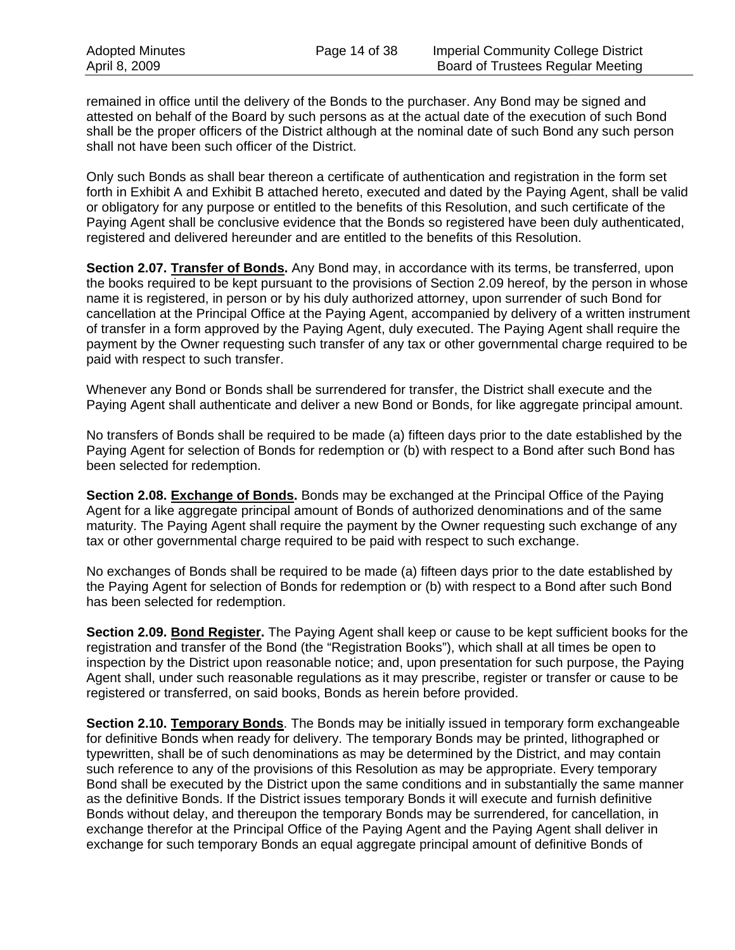remained in office until the delivery of the Bonds to the purchaser. Any Bond may be signed and attested on behalf of the Board by such persons as at the actual date of the execution of such Bond shall be the proper officers of the District although at the nominal date of such Bond any such person shall not have been such officer of the District.

Only such Bonds as shall bear thereon a certificate of authentication and registration in the form set forth in Exhibit A and Exhibit B attached hereto, executed and dated by the Paying Agent, shall be valid or obligatory for any purpose or entitled to the benefits of this Resolution, and such certificate of the Paying Agent shall be conclusive evidence that the Bonds so registered have been duly authenticated, registered and delivered hereunder and are entitled to the benefits of this Resolution.

**Section 2.07. Transfer of Bonds.** Any Bond may, in accordance with its terms, be transferred, upon the books required to be kept pursuant to the provisions of Section 2.09 hereof, by the person in whose name it is registered, in person or by his duly authorized attorney, upon surrender of such Bond for cancellation at the Principal Office at the Paying Agent, accompanied by delivery of a written instrument of transfer in a form approved by the Paying Agent, duly executed. The Paying Agent shall require the payment by the Owner requesting such transfer of any tax or other governmental charge required to be paid with respect to such transfer.

Whenever any Bond or Bonds shall be surrendered for transfer, the District shall execute and the Paying Agent shall authenticate and deliver a new Bond or Bonds, for like aggregate principal amount.

No transfers of Bonds shall be required to be made (a) fifteen days prior to the date established by the Paying Agent for selection of Bonds for redemption or (b) with respect to a Bond after such Bond has been selected for redemption.

**Section 2.08. Exchange of Bonds.** Bonds may be exchanged at the Principal Office of the Paying Agent for a like aggregate principal amount of Bonds of authorized denominations and of the same maturity. The Paying Agent shall require the payment by the Owner requesting such exchange of any tax or other governmental charge required to be paid with respect to such exchange.

No exchanges of Bonds shall be required to be made (a) fifteen days prior to the date established by the Paying Agent for selection of Bonds for redemption or (b) with respect to a Bond after such Bond has been selected for redemption.

**Section 2.09. Bond Register.** The Paying Agent shall keep or cause to be kept sufficient books for the registration and transfer of the Bond (the "Registration Books"), which shall at all times be open to inspection by the District upon reasonable notice; and, upon presentation for such purpose, the Paying Agent shall, under such reasonable regulations as it may prescribe, register or transfer or cause to be registered or transferred, on said books, Bonds as herein before provided.

**Section 2.10. Temporary Bonds**. The Bonds may be initially issued in temporary form exchangeable for definitive Bonds when ready for delivery. The temporary Bonds may be printed, lithographed or typewritten, shall be of such denominations as may be determined by the District, and may contain such reference to any of the provisions of this Resolution as may be appropriate. Every temporary Bond shall be executed by the District upon the same conditions and in substantially the same manner as the definitive Bonds. If the District issues temporary Bonds it will execute and furnish definitive Bonds without delay, and thereupon the temporary Bonds may be surrendered, for cancellation, in exchange therefor at the Principal Office of the Paying Agent and the Paying Agent shall deliver in exchange for such temporary Bonds an equal aggregate principal amount of definitive Bonds of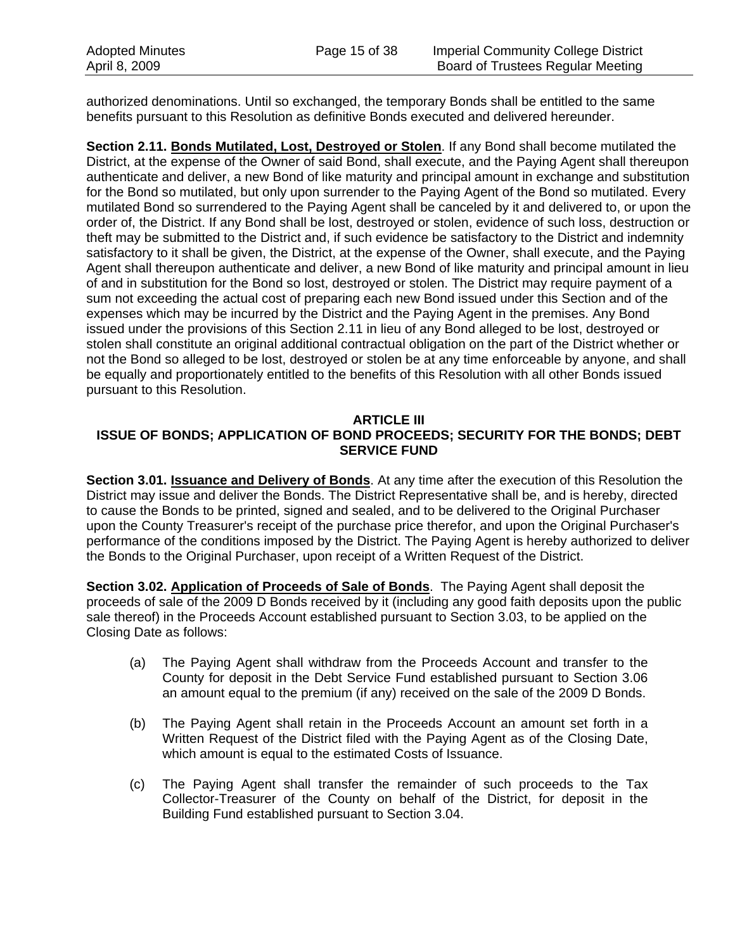authorized denominations. Until so exchanged, the temporary Bonds shall be entitled to the same benefits pursuant to this Resolution as definitive Bonds executed and delivered hereunder.

**Section 2.11. Bonds Mutilated, Lost, Destroyed or Stolen**. If any Bond shall become mutilated the District, at the expense of the Owner of said Bond, shall execute, and the Paying Agent shall thereupon authenticate and deliver, a new Bond of like maturity and principal amount in exchange and substitution for the Bond so mutilated, but only upon surrender to the Paying Agent of the Bond so mutilated. Every mutilated Bond so surrendered to the Paying Agent shall be canceled by it and delivered to, or upon the order of, the District. If any Bond shall be lost, destroyed or stolen, evidence of such loss, destruction or theft may be submitted to the District and, if such evidence be satisfactory to the District and indemnity satisfactory to it shall be given, the District, at the expense of the Owner, shall execute, and the Paying Agent shall thereupon authenticate and deliver, a new Bond of like maturity and principal amount in lieu of and in substitution for the Bond so lost, destroyed or stolen. The District may require payment of a sum not exceeding the actual cost of preparing each new Bond issued under this Section and of the expenses which may be incurred by the District and the Paying Agent in the premises. Any Bond issued under the provisions of this Section 2.11 in lieu of any Bond alleged to be lost, destroyed or stolen shall constitute an original additional contractual obligation on the part of the District whether or not the Bond so alleged to be lost, destroyed or stolen be at any time enforceable by anyone, and shall be equally and proportionately entitled to the benefits of this Resolution with all other Bonds issued pursuant to this Resolution.

## **ARTICLE III**

## **ISSUE OF BONDS; APPLICATION OF BOND PROCEEDS; SECURITY FOR THE BONDS; DEBT SERVICE FUND**

**Section 3.01. Issuance and Delivery of Bonds**. At any time after the execution of this Resolution the District may issue and deliver the Bonds. The District Representative shall be, and is hereby, directed to cause the Bonds to be printed, signed and sealed, and to be delivered to the Original Purchaser upon the County Treasurer's receipt of the purchase price therefor, and upon the Original Purchaser's performance of the conditions imposed by the District. The Paying Agent is hereby authorized to deliver the Bonds to the Original Purchaser, upon receipt of a Written Request of the District.

**Section 3.02. Application of Proceeds of Sale of Bonds**. The Paying Agent shall deposit the proceeds of sale of the 2009 D Bonds received by it (including any good faith deposits upon the public sale thereof) in the Proceeds Account established pursuant to Section 3.03, to be applied on the Closing Date as follows:

- (a) The Paying Agent shall withdraw from the Proceeds Account and transfer to the County for deposit in the Debt Service Fund established pursuant to Section 3.06 an amount equal to the premium (if any) received on the sale of the 2009 D Bonds.
- (b) The Paying Agent shall retain in the Proceeds Account an amount set forth in a Written Request of the District filed with the Paying Agent as of the Closing Date, which amount is equal to the estimated Costs of Issuance.
- (c) The Paying Agent shall transfer the remainder of such proceeds to the Tax Collector-Treasurer of the County on behalf of the District, for deposit in the Building Fund established pursuant to Section 3.04.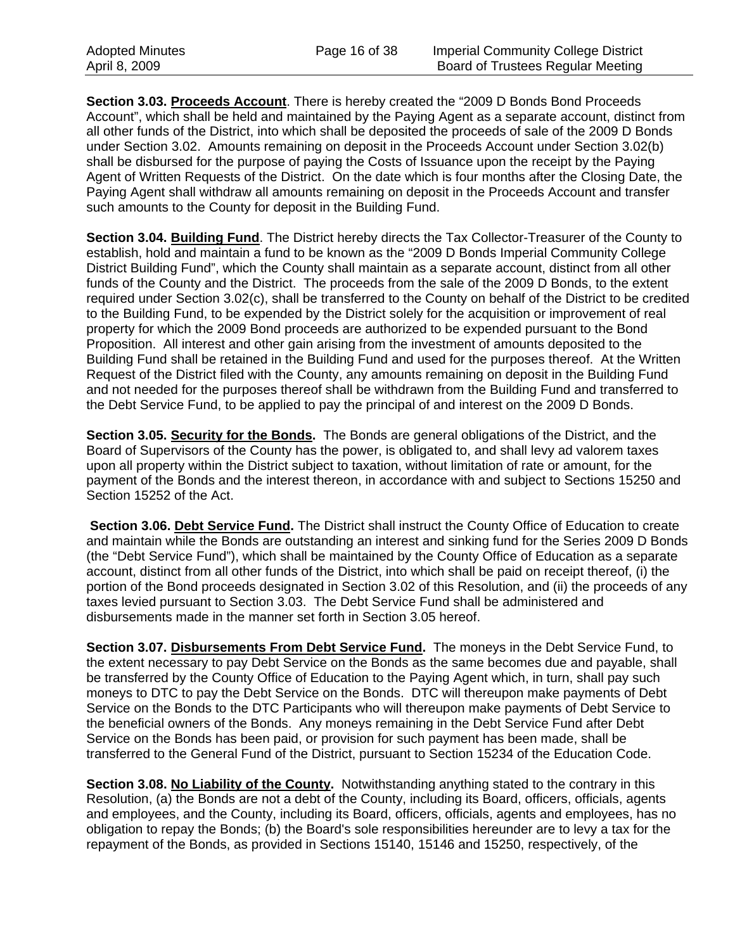**Section 3.03. Proceeds Account**. There is hereby created the "2009 D Bonds Bond Proceeds Account", which shall be held and maintained by the Paying Agent as a separate account, distinct from all other funds of the District, into which shall be deposited the proceeds of sale of the 2009 D Bonds under Section 3.02. Amounts remaining on deposit in the Proceeds Account under Section 3.02(b) shall be disbursed for the purpose of paying the Costs of Issuance upon the receipt by the Paying Agent of Written Requests of the District. On the date which is four months after the Closing Date, the Paying Agent shall withdraw all amounts remaining on deposit in the Proceeds Account and transfer such amounts to the County for deposit in the Building Fund.

**Section 3.04. Building Fund**. The District hereby directs the Tax Collector-Treasurer of the County to establish, hold and maintain a fund to be known as the "2009 D Bonds Imperial Community College District Building Fund", which the County shall maintain as a separate account, distinct from all other funds of the County and the District. The proceeds from the sale of the 2009 D Bonds, to the extent required under Section 3.02(c), shall be transferred to the County on behalf of the District to be credited to the Building Fund, to be expended by the District solely for the acquisition or improvement of real property for which the 2009 Bond proceeds are authorized to be expended pursuant to the Bond Proposition. All interest and other gain arising from the investment of amounts deposited to the Building Fund shall be retained in the Building Fund and used for the purposes thereof. At the Written Request of the District filed with the County, any amounts remaining on deposit in the Building Fund and not needed for the purposes thereof shall be withdrawn from the Building Fund and transferred to the Debt Service Fund, to be applied to pay the principal of and interest on the 2009 D Bonds.

**Section 3.05. Security for the Bonds.** The Bonds are general obligations of the District, and the Board of Supervisors of the County has the power, is obligated to, and shall levy ad valorem taxes upon all property within the District subject to taxation, without limitation of rate or amount, for the payment of the Bonds and the interest thereon, in accordance with and subject to Sections 15250 and Section 15252 of the Act.

Section 3.06. Debt Service Fund. The District shall instruct the County Office of Education to create and maintain while the Bonds are outstanding an interest and sinking fund for the Series 2009 D Bonds (the "Debt Service Fund"), which shall be maintained by the County Office of Education as a separate account, distinct from all other funds of the District, into which shall be paid on receipt thereof, (i) the portion of the Bond proceeds designated in Section 3.02 of this Resolution, and (ii) the proceeds of any taxes levied pursuant to Section 3.03. The Debt Service Fund shall be administered and disbursements made in the manner set forth in Section 3.05 hereof.

**Section 3.07. Disbursements From Debt Service Fund.** The moneys in the Debt Service Fund, to the extent necessary to pay Debt Service on the Bonds as the same becomes due and payable, shall be transferred by the County Office of Education to the Paying Agent which, in turn, shall pay such moneys to DTC to pay the Debt Service on the Bonds. DTC will thereupon make payments of Debt Service on the Bonds to the DTC Participants who will thereupon make payments of Debt Service to the beneficial owners of the Bonds. Any moneys remaining in the Debt Service Fund after Debt Service on the Bonds has been paid, or provision for such payment has been made, shall be transferred to the General Fund of the District, pursuant to Section 15234 of the Education Code.

**Section 3.08. No Liability of the County.** Notwithstanding anything stated to the contrary in this Resolution, (a) the Bonds are not a debt of the County, including its Board, officers, officials, agents and employees, and the County, including its Board, officers, officials, agents and employees, has no obligation to repay the Bonds; (b) the Board's sole responsibilities hereunder are to levy a tax for the repayment of the Bonds, as provided in Sections 15140, 15146 and 15250, respectively, of the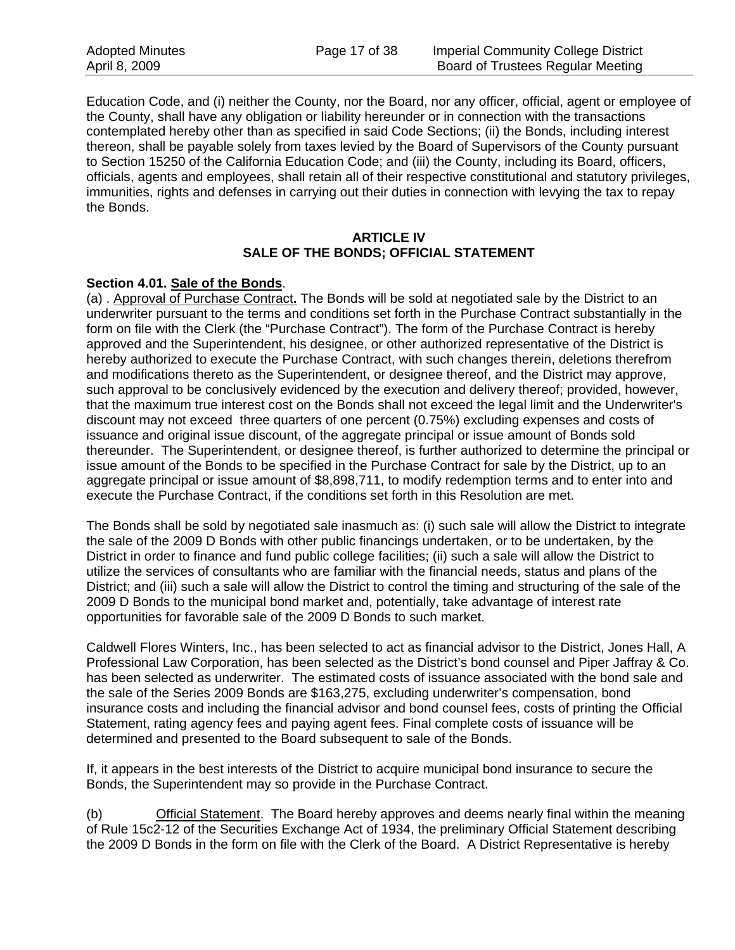Education Code, and (i) neither the County, nor the Board, nor any officer, official, agent or employee of the County, shall have any obligation or liability hereunder or in connection with the transactions contemplated hereby other than as specified in said Code Sections; (ii) the Bonds, including interest thereon, shall be payable solely from taxes levied by the Board of Supervisors of the County pursuant to Section 15250 of the California Education Code; and (iii) the County, including its Board, officers, officials, agents and employees, shall retain all of their respective constitutional and statutory privileges, immunities, rights and defenses in carrying out their duties in connection with levying the tax to repay the Bonds.

#### **ARTICLE IV SALE OF THE BONDS; OFFICIAL STATEMENT**

#### **Section 4.01. Sale of the Bonds**.

(a) . Approval of Purchase Contract**.** The Bonds will be sold at negotiated sale by the District to an underwriter pursuant to the terms and conditions set forth in the Purchase Contract substantially in the form on file with the Clerk (the "Purchase Contract"). The form of the Purchase Contract is hereby approved and the Superintendent, his designee, or other authorized representative of the District is hereby authorized to execute the Purchase Contract, with such changes therein, deletions therefrom and modifications thereto as the Superintendent, or designee thereof, and the District may approve, such approval to be conclusively evidenced by the execution and delivery thereof; provided, however, that the maximum true interest cost on the Bonds shall not exceed the legal limit and the Underwriter's discount may not exceed three quarters of one percent (0.75%) excluding expenses and costs of issuance and original issue discount, of the aggregate principal or issue amount of Bonds sold thereunder. The Superintendent, or designee thereof, is further authorized to determine the principal or issue amount of the Bonds to be specified in the Purchase Contract for sale by the District, up to an aggregate principal or issue amount of \$8,898,711, to modify redemption terms and to enter into and execute the Purchase Contract, if the conditions set forth in this Resolution are met.

The Bonds shall be sold by negotiated sale inasmuch as: (i) such sale will allow the District to integrate the sale of the 2009 D Bonds with other public financings undertaken, or to be undertaken, by the District in order to finance and fund public college facilities; (ii) such a sale will allow the District to utilize the services of consultants who are familiar with the financial needs, status and plans of the District; and (iii) such a sale will allow the District to control the timing and structuring of the sale of the 2009 D Bonds to the municipal bond market and, potentially, take advantage of interest rate opportunities for favorable sale of the 2009 D Bonds to such market.

Caldwell Flores Winters, Inc., has been selected to act as financial advisor to the District, Jones Hall, A Professional Law Corporation, has been selected as the District's bond counsel and Piper Jaffray & Co. has been selected as underwriter. The estimated costs of issuance associated with the bond sale and the sale of the Series 2009 Bonds are \$163,275, excluding underwriter's compensation, bond insurance costs and including the financial advisor and bond counsel fees, costs of printing the Official Statement, rating agency fees and paying agent fees. Final complete costs of issuance will be determined and presented to the Board subsequent to sale of the Bonds.

If, it appears in the best interests of the District to acquire municipal bond insurance to secure the Bonds, the Superintendent may so provide in the Purchase Contract.

(b) Official Statement. The Board hereby approves and deems nearly final within the meaning of Rule 15c2-12 of the Securities Exchange Act of 1934, the preliminary Official Statement describing the 2009 D Bonds in the form on file with the Clerk of the Board. A District Representative is hereby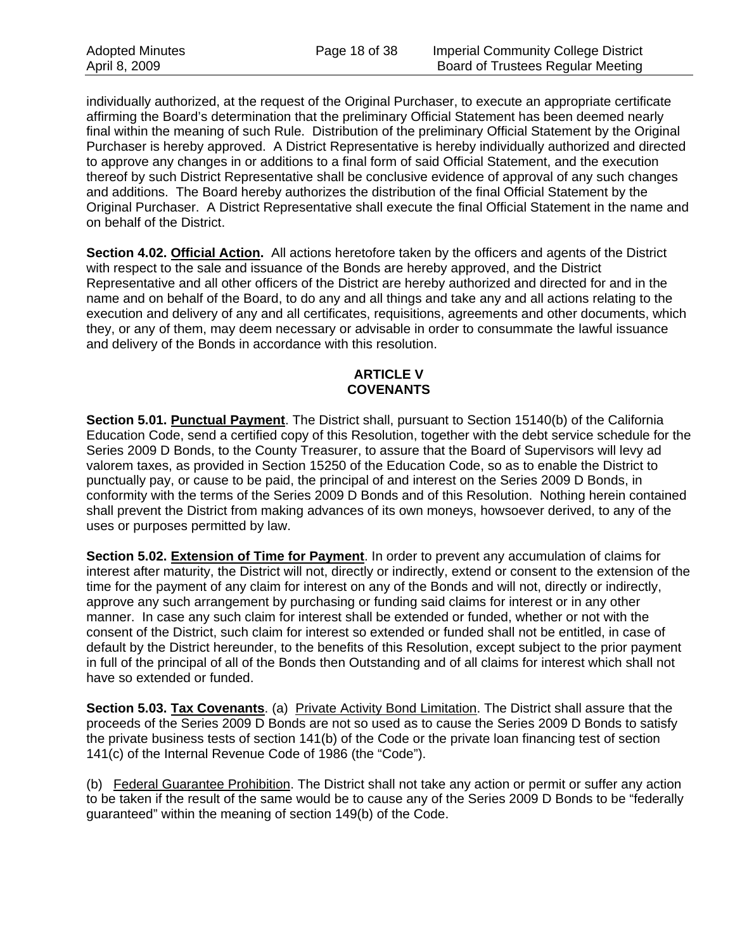individually authorized, at the request of the Original Purchaser, to execute an appropriate certificate affirming the Board's determination that the preliminary Official Statement has been deemed nearly final within the meaning of such Rule. Distribution of the preliminary Official Statement by the Original Purchaser is hereby approved. A District Representative is hereby individually authorized and directed to approve any changes in or additions to a final form of said Official Statement, and the execution thereof by such District Representative shall be conclusive evidence of approval of any such changes and additions. The Board hereby authorizes the distribution of the final Official Statement by the Original Purchaser. A District Representative shall execute the final Official Statement in the name and on behalf of the District.

**Section 4.02. Official Action.** All actions heretofore taken by the officers and agents of the District with respect to the sale and issuance of the Bonds are hereby approved, and the District Representative and all other officers of the District are hereby authorized and directed for and in the name and on behalf of the Board, to do any and all things and take any and all actions relating to the execution and delivery of any and all certificates, requisitions, agreements and other documents, which they, or any of them, may deem necessary or advisable in order to consummate the lawful issuance and delivery of the Bonds in accordance with this resolution.

## **ARTICLE V COVENANTS**

**Section 5.01. Punctual Payment**. The District shall, pursuant to Section 15140(b) of the California Education Code, send a certified copy of this Resolution, together with the debt service schedule for the Series 2009 D Bonds, to the County Treasurer, to assure that the Board of Supervisors will levy ad valorem taxes, as provided in Section 15250 of the Education Code, so as to enable the District to punctually pay, or cause to be paid, the principal of and interest on the Series 2009 D Bonds, in conformity with the terms of the Series 2009 D Bonds and of this Resolution. Nothing herein contained shall prevent the District from making advances of its own moneys, howsoever derived, to any of the uses or purposes permitted by law.

**Section 5.02. Extension of Time for Payment**. In order to prevent any accumulation of claims for interest after maturity, the District will not, directly or indirectly, extend or consent to the extension of the time for the payment of any claim for interest on any of the Bonds and will not, directly or indirectly, approve any such arrangement by purchasing or funding said claims for interest or in any other manner. In case any such claim for interest shall be extended or funded, whether or not with the consent of the District, such claim for interest so extended or funded shall not be entitled, in case of default by the District hereunder, to the benefits of this Resolution, except subject to the prior payment in full of the principal of all of the Bonds then Outstanding and of all claims for interest which shall not have so extended or funded.

**Section 5.03. Tax Covenants**. (a) Private Activity Bond Limitation. The District shall assure that the proceeds of the Series 2009 D Bonds are not so used as to cause the Series 2009 D Bonds to satisfy the private business tests of section 141(b) of the Code or the private loan financing test of section 141(c) of the Internal Revenue Code of 1986 (the "Code").

(b) Federal Guarantee Prohibition. The District shall not take any action or permit or suffer any action to be taken if the result of the same would be to cause any of the Series 2009 D Bonds to be "federally guaranteed" within the meaning of section 149(b) of the Code.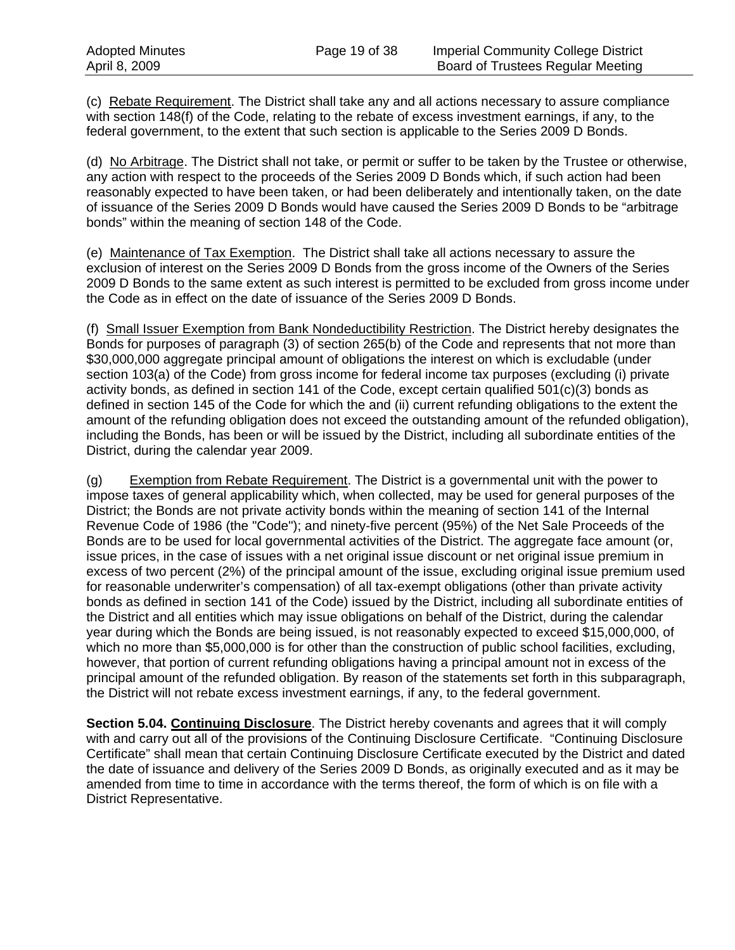(c) Rebate Requirement. The District shall take any and all actions necessary to assure compliance with section 148(f) of the Code, relating to the rebate of excess investment earnings, if any, to the federal government, to the extent that such section is applicable to the Series 2009 D Bonds.

(d) No Arbitrage. The District shall not take, or permit or suffer to be taken by the Trustee or otherwise, any action with respect to the proceeds of the Series 2009 D Bonds which, if such action had been reasonably expected to have been taken, or had been deliberately and intentionally taken, on the date of issuance of the Series 2009 D Bonds would have caused the Series 2009 D Bonds to be "arbitrage bonds" within the meaning of section 148 of the Code.

(e) Maintenance of Tax Exemption. The District shall take all actions necessary to assure the exclusion of interest on the Series 2009 D Bonds from the gross income of the Owners of the Series 2009 D Bonds to the same extent as such interest is permitted to be excluded from gross income under the Code as in effect on the date of issuance of the Series 2009 D Bonds.

(f) Small Issuer Exemption from Bank Nondeductibility Restriction. The District hereby designates the Bonds for purposes of paragraph (3) of section 265(b) of the Code and represents that not more than \$30,000,000 aggregate principal amount of obligations the interest on which is excludable (under section 103(a) of the Code) from gross income for federal income tax purposes (excluding (i) private activity bonds, as defined in section 141 of the Code, except certain qualified 501(c)(3) bonds as defined in section 145 of the Code for which the and (ii) current refunding obligations to the extent the amount of the refunding obligation does not exceed the outstanding amount of the refunded obligation), including the Bonds, has been or will be issued by the District, including all subordinate entities of the District, during the calendar year 2009.

(g) Exemption from Rebate Requirement. The District is a governmental unit with the power to impose taxes of general applicability which, when collected, may be used for general purposes of the District; the Bonds are not private activity bonds within the meaning of section 141 of the Internal Revenue Code of 1986 (the "Code"); and ninety-five percent (95%) of the Net Sale Proceeds of the Bonds are to be used for local governmental activities of the District. The aggregate face amount (or, issue prices, in the case of issues with a net original issue discount or net original issue premium in excess of two percent (2%) of the principal amount of the issue, excluding original issue premium used for reasonable underwriter's compensation) of all tax-exempt obligations (other than private activity bonds as defined in section 141 of the Code) issued by the District, including all subordinate entities of the District and all entities which may issue obligations on behalf of the District, during the calendar year during which the Bonds are being issued, is not reasonably expected to exceed \$15,000,000, of which no more than \$5,000,000 is for other than the construction of public school facilities, excluding, however, that portion of current refunding obligations having a principal amount not in excess of the principal amount of the refunded obligation. By reason of the statements set forth in this subparagraph, the District will not rebate excess investment earnings, if any, to the federal government.

**Section 5.04. Continuing Disclosure**. The District hereby covenants and agrees that it will comply with and carry out all of the provisions of the Continuing Disclosure Certificate. "Continuing Disclosure Certificate" shall mean that certain Continuing Disclosure Certificate executed by the District and dated the date of issuance and delivery of the Series 2009 D Bonds, as originally executed and as it may be amended from time to time in accordance with the terms thereof, the form of which is on file with a District Representative.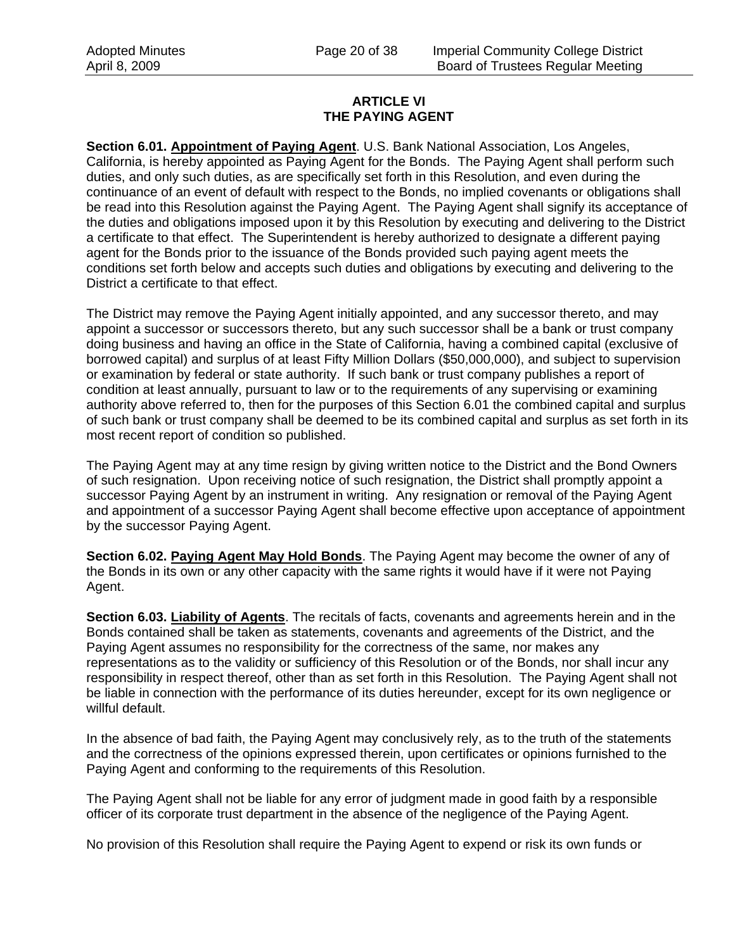#### **ARTICLE VI THE PAYING AGENT**

**Section 6.01. Appointment of Paying Agent**. U.S. Bank National Association, Los Angeles, California, is hereby appointed as Paying Agent for the Bonds. The Paying Agent shall perform such duties, and only such duties, as are specifically set forth in this Resolution, and even during the continuance of an event of default with respect to the Bonds, no implied covenants or obligations shall be read into this Resolution against the Paying Agent. The Paying Agent shall signify its acceptance of the duties and obligations imposed upon it by this Resolution by executing and delivering to the District a certificate to that effect. The Superintendent is hereby authorized to designate a different paying agent for the Bonds prior to the issuance of the Bonds provided such paying agent meets the conditions set forth below and accepts such duties and obligations by executing and delivering to the District a certificate to that effect.

The District may remove the Paying Agent initially appointed, and any successor thereto, and may appoint a successor or successors thereto, but any such successor shall be a bank or trust company doing business and having an office in the State of California, having a combined capital (exclusive of borrowed capital) and surplus of at least Fifty Million Dollars (\$50,000,000), and subject to supervision or examination by federal or state authority. If such bank or trust company publishes a report of condition at least annually, pursuant to law or to the requirements of any supervising or examining authority above referred to, then for the purposes of this Section 6.01 the combined capital and surplus of such bank or trust company shall be deemed to be its combined capital and surplus as set forth in its most recent report of condition so published.

The Paying Agent may at any time resign by giving written notice to the District and the Bond Owners of such resignation. Upon receiving notice of such resignation, the District shall promptly appoint a successor Paying Agent by an instrument in writing. Any resignation or removal of the Paying Agent and appointment of a successor Paying Agent shall become effective upon acceptance of appointment by the successor Paying Agent.

**Section 6.02. Paying Agent May Hold Bonds**. The Paying Agent may become the owner of any of the Bonds in its own or any other capacity with the same rights it would have if it were not Paying Agent.

**Section 6.03. Liability of Agents**. The recitals of facts, covenants and agreements herein and in the Bonds contained shall be taken as statements, covenants and agreements of the District, and the Paying Agent assumes no responsibility for the correctness of the same, nor makes any representations as to the validity or sufficiency of this Resolution or of the Bonds, nor shall incur any responsibility in respect thereof, other than as set forth in this Resolution. The Paying Agent shall not be liable in connection with the performance of its duties hereunder, except for its own negligence or willful default.

In the absence of bad faith, the Paying Agent may conclusively rely, as to the truth of the statements and the correctness of the opinions expressed therein, upon certificates or opinions furnished to the Paying Agent and conforming to the requirements of this Resolution.

The Paying Agent shall not be liable for any error of judgment made in good faith by a responsible officer of its corporate trust department in the absence of the negligence of the Paying Agent.

No provision of this Resolution shall require the Paying Agent to expend or risk its own funds or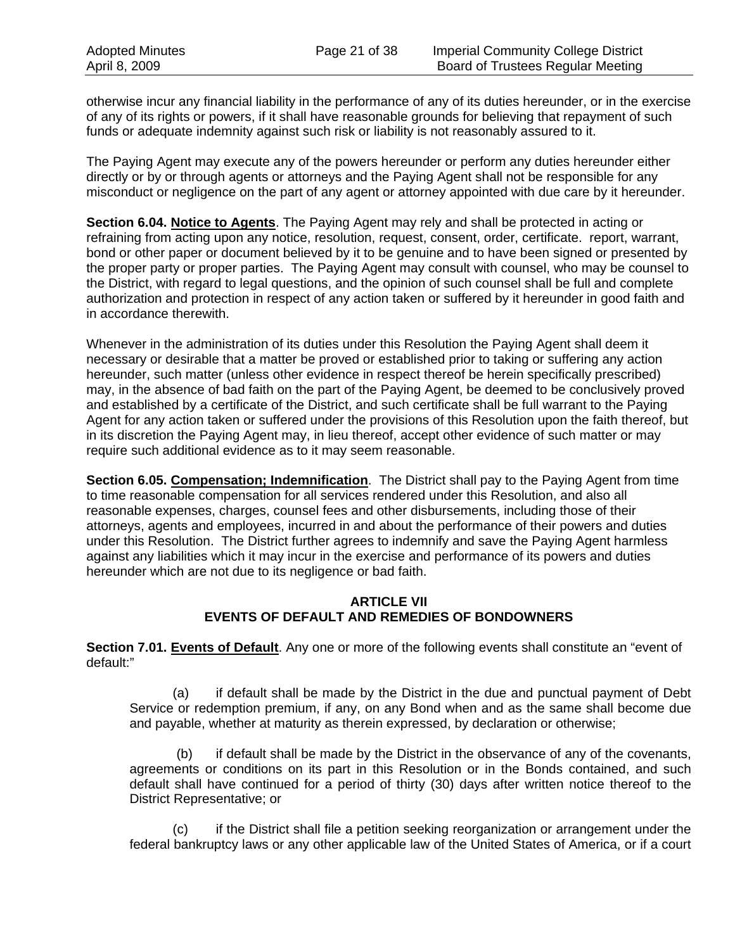otherwise incur any financial liability in the performance of any of its duties hereunder, or in the exercise of any of its rights or powers, if it shall have reasonable grounds for believing that repayment of such funds or adequate indemnity against such risk or liability is not reasonably assured to it.

The Paying Agent may execute any of the powers hereunder or perform any duties hereunder either directly or by or through agents or attorneys and the Paying Agent shall not be responsible for any misconduct or negligence on the part of any agent or attorney appointed with due care by it hereunder.

**Section 6.04. Notice to Agents**. The Paying Agent may rely and shall be protected in acting or refraining from acting upon any notice, resolution, request, consent, order, certificate. report, warrant, bond or other paper or document believed by it to be genuine and to have been signed or presented by the proper party or proper parties. The Paying Agent may consult with counsel, who may be counsel to the District, with regard to legal questions, and the opinion of such counsel shall be full and complete authorization and protection in respect of any action taken or suffered by it hereunder in good faith and in accordance therewith.

Whenever in the administration of its duties under this Resolution the Paying Agent shall deem it necessary or desirable that a matter be proved or established prior to taking or suffering any action hereunder, such matter (unless other evidence in respect thereof be herein specifically prescribed) may, in the absence of bad faith on the part of the Paying Agent, be deemed to be conclusively proved and established by a certificate of the District, and such certificate shall be full warrant to the Paying Agent for any action taken or suffered under the provisions of this Resolution upon the faith thereof, but in its discretion the Paying Agent may, in lieu thereof, accept other evidence of such matter or may require such additional evidence as to it may seem reasonable.

**Section 6.05. Compensation; Indemnification**. The District shall pay to the Paying Agent from time to time reasonable compensation for all services rendered under this Resolution, and also all reasonable expenses, charges, counsel fees and other disbursements, including those of their attorneys, agents and employees, incurred in and about the performance of their powers and duties under this Resolution. The District further agrees to indemnify and save the Paying Agent harmless against any liabilities which it may incur in the exercise and performance of its powers and duties hereunder which are not due to its negligence or bad faith.

## **ARTICLE VII EVENTS OF DEFAULT AND REMEDIES OF BONDOWNERS**

**Section 7.01. Events of Default**. Any one or more of the following events shall constitute an "event of default:"

(a) if default shall be made by the District in the due and punctual payment of Debt Service or redemption premium, if any, on any Bond when and as the same shall become due and payable, whether at maturity as therein expressed, by declaration or otherwise;

 (b) if default shall be made by the District in the observance of any of the covenants, agreements or conditions on its part in this Resolution or in the Bonds contained, and such default shall have continued for a period of thirty (30) days after written notice thereof to the District Representative; or

(c) if the District shall file a petition seeking reorganization or arrangement under the federal bankruptcy laws or any other applicable law of the United States of America, or if a court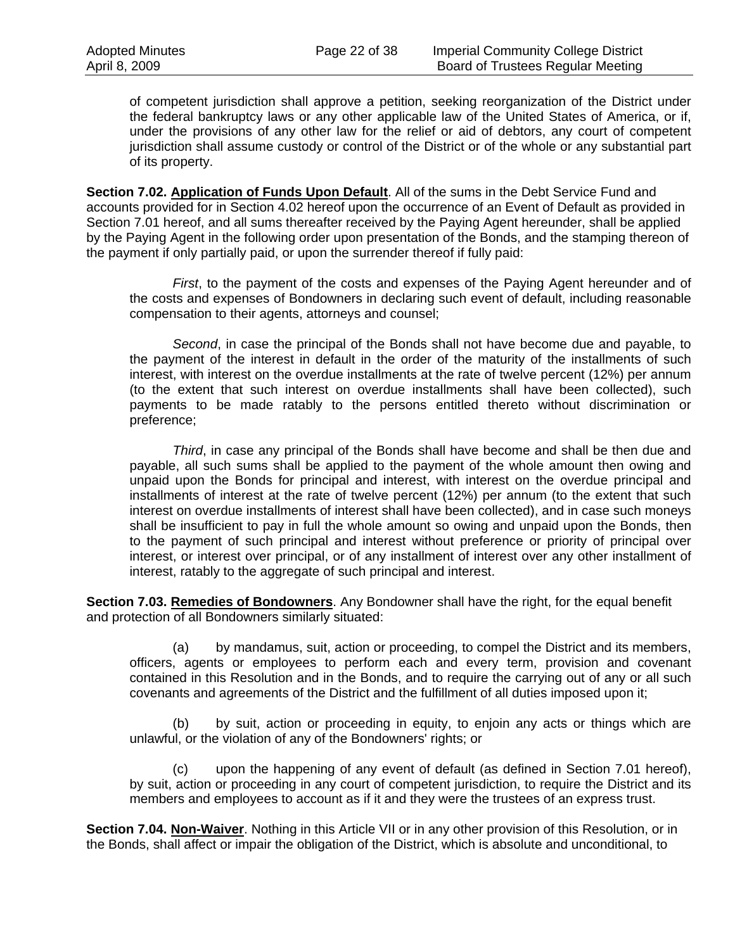of competent jurisdiction shall approve a petition, seeking reorganization of the District under the federal bankruptcy laws or any other applicable law of the United States of America, or if, under the provisions of any other law for the relief or aid of debtors, any court of competent jurisdiction shall assume custody or control of the District or of the whole or any substantial part of its property.

**Section 7.02. Application of Funds Upon Default**. All of the sums in the Debt Service Fund and accounts provided for in Section 4.02 hereof upon the occurrence of an Event of Default as provided in Section 7.01 hereof, and all sums thereafter received by the Paying Agent hereunder, shall be applied by the Paying Agent in the following order upon presentation of the Bonds, and the stamping thereon of the payment if only partially paid, or upon the surrender thereof if fully paid:

*First*, to the payment of the costs and expenses of the Paying Agent hereunder and of the costs and expenses of Bondowners in declaring such event of default, including reasonable compensation to their agents, attorneys and counsel;

*Second*, in case the principal of the Bonds shall not have become due and payable, to the payment of the interest in default in the order of the maturity of the installments of such interest, with interest on the overdue installments at the rate of twelve percent (12%) per annum (to the extent that such interest on overdue installments shall have been collected), such payments to be made ratably to the persons entitled thereto without discrimination or preference;

*Third*, in case any principal of the Bonds shall have become and shall be then due and payable, all such sums shall be applied to the payment of the whole amount then owing and unpaid upon the Bonds for principal and interest, with interest on the overdue principal and installments of interest at the rate of twelve percent (12%) per annum (to the extent that such interest on overdue installments of interest shall have been collected), and in case such moneys shall be insufficient to pay in full the whole amount so owing and unpaid upon the Bonds, then to the payment of such principal and interest without preference or priority of principal over interest, or interest over principal, or of any installment of interest over any other installment of interest, ratably to the aggregate of such principal and interest.

**Section 7.03. Remedies of Bondowners**. Any Bondowner shall have the right, for the equal benefit and protection of all Bondowners similarly situated:

(a) by mandamus, suit, action or proceeding, to compel the District and its members, officers, agents or employees to perform each and every term, provision and covenant contained in this Resolution and in the Bonds, and to require the carrying out of any or all such covenants and agreements of the District and the fulfillment of all duties imposed upon it;

(b) by suit, action or proceeding in equity, to enjoin any acts or things which are unlawful, or the violation of any of the Bondowners' rights; or

(c) upon the happening of any event of default (as defined in Section 7.01 hereof), by suit, action or proceeding in any court of competent jurisdiction, to require the District and its members and employees to account as if it and they were the trustees of an express trust.

**Section 7.04. Non-Waiver**. Nothing in this Article VII or in any other provision of this Resolution, or in the Bonds, shall affect or impair the obligation of the District, which is absolute and unconditional, to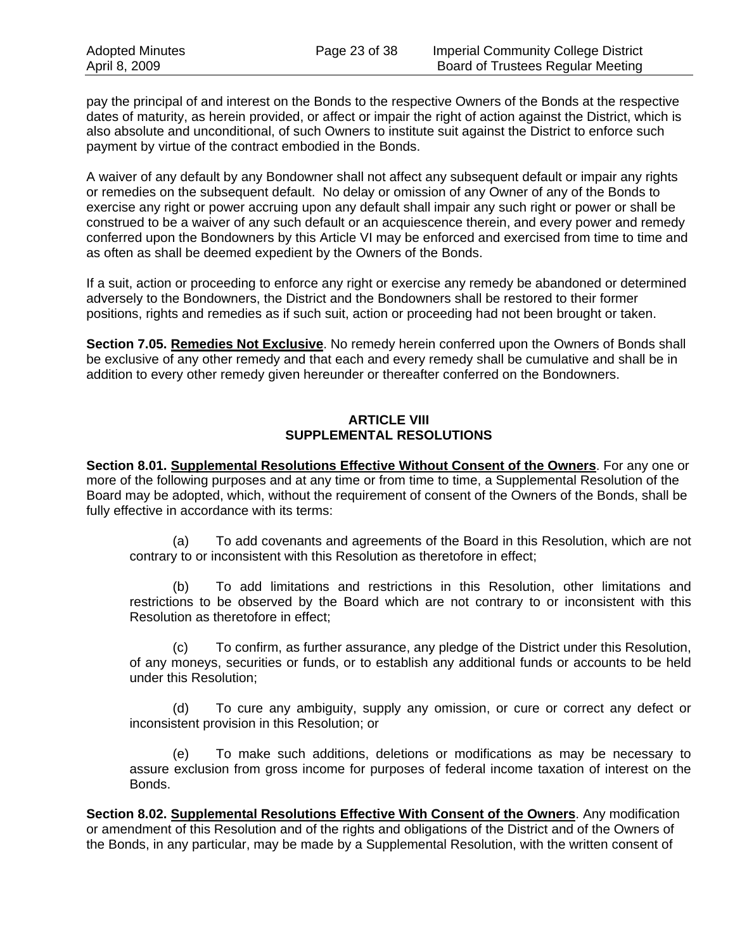pay the principal of and interest on the Bonds to the respective Owners of the Bonds at the respective dates of maturity, as herein provided, or affect or impair the right of action against the District, which is also absolute and unconditional, of such Owners to institute suit against the District to enforce such payment by virtue of the contract embodied in the Bonds.

A waiver of any default by any Bondowner shall not affect any subsequent default or impair any rights or remedies on the subsequent default. No delay or omission of any Owner of any of the Bonds to exercise any right or power accruing upon any default shall impair any such right or power or shall be construed to be a waiver of any such default or an acquiescence therein, and every power and remedy conferred upon the Bondowners by this Article VI may be enforced and exercised from time to time and as often as shall be deemed expedient by the Owners of the Bonds.

If a suit, action or proceeding to enforce any right or exercise any remedy be abandoned or determined adversely to the Bondowners, the District and the Bondowners shall be restored to their former positions, rights and remedies as if such suit, action or proceeding had not been brought or taken.

**Section 7.05. Remedies Not Exclusive**. No remedy herein conferred upon the Owners of Bonds shall be exclusive of any other remedy and that each and every remedy shall be cumulative and shall be in addition to every other remedy given hereunder or thereafter conferred on the Bondowners.

## **ARTICLE VIII SUPPLEMENTAL RESOLUTIONS**

**Section 8.01. Supplemental Resolutions Effective Without Consent of the Owners**. For any one or more of the following purposes and at any time or from time to time, a Supplemental Resolution of the Board may be adopted, which, without the requirement of consent of the Owners of the Bonds, shall be fully effective in accordance with its terms:

(a) To add covenants and agreements of the Board in this Resolution, which are not contrary to or inconsistent with this Resolution as theretofore in effect;

(b) To add limitations and restrictions in this Resolution, other limitations and restrictions to be observed by the Board which are not contrary to or inconsistent with this Resolution as theretofore in effect;

(c) To confirm, as further assurance, any pledge of the District under this Resolution, of any moneys, securities or funds, or to establish any additional funds or accounts to be held under this Resolution;

(d) To cure any ambiguity, supply any omission, or cure or correct any defect or inconsistent provision in this Resolution; or

(e) To make such additions, deletions or modifications as may be necessary to assure exclusion from gross income for purposes of federal income taxation of interest on the Bonds.

**Section 8.02. Supplemental Resolutions Effective With Consent of the Owners**. Any modification or amendment of this Resolution and of the rights and obligations of the District and of the Owners of the Bonds, in any particular, may be made by a Supplemental Resolution, with the written consent of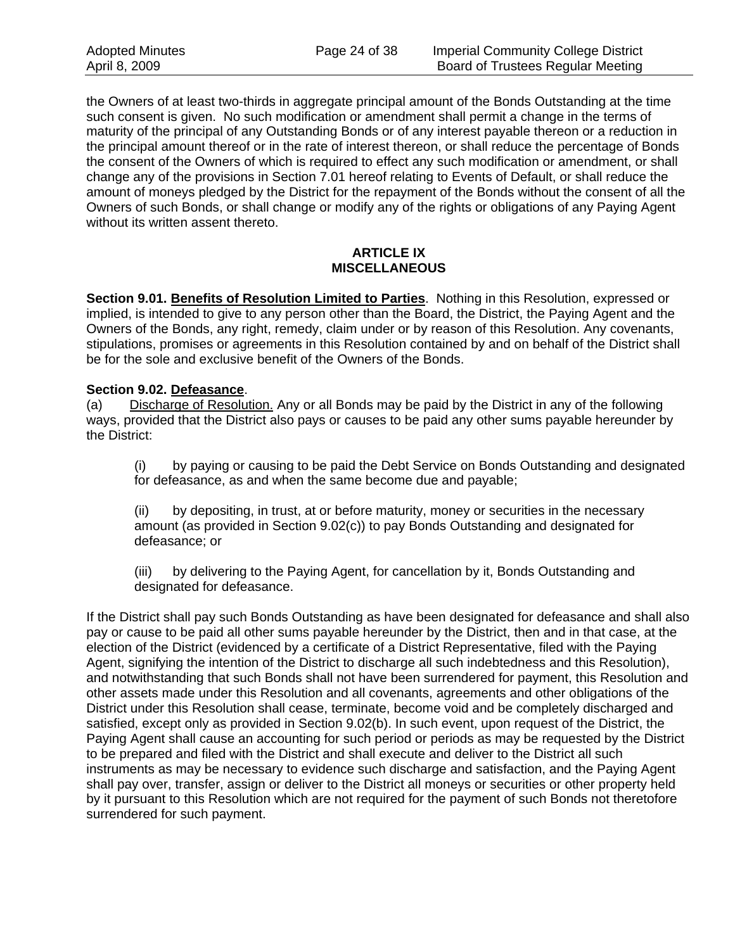the Owners of at least two-thirds in aggregate principal amount of the Bonds Outstanding at the time such consent is given. No such modification or amendment shall permit a change in the terms of maturity of the principal of any Outstanding Bonds or of any interest payable thereon or a reduction in the principal amount thereof or in the rate of interest thereon, or shall reduce the percentage of Bonds the consent of the Owners of which is required to effect any such modification or amendment, or shall change any of the provisions in Section 7.01 hereof relating to Events of Default, or shall reduce the amount of moneys pledged by the District for the repayment of the Bonds without the consent of all the Owners of such Bonds, or shall change or modify any of the rights or obligations of any Paying Agent without its written assent thereto.

#### **ARTICLE IX MISCELLANEOUS**

**Section 9.01. Benefits of Resolution Limited to Parties**. Nothing in this Resolution, expressed or implied, is intended to give to any person other than the Board, the District, the Paying Agent and the Owners of the Bonds, any right, remedy, claim under or by reason of this Resolution. Any covenants, stipulations, promises or agreements in this Resolution contained by and on behalf of the District shall be for the sole and exclusive benefit of the Owners of the Bonds.

## **Section 9.02. Defeasance**.

(a) Discharge of Resolution. Any or all Bonds may be paid by the District in any of the following ways, provided that the District also pays or causes to be paid any other sums payable hereunder by the District:

(i) by paying or causing to be paid the Debt Service on Bonds Outstanding and designated for defeasance, as and when the same become due and payable;

(ii) by depositing, in trust, at or before maturity, money or securities in the necessary amount (as provided in Section 9.02(c)) to pay Bonds Outstanding and designated for defeasance; or

(iii) by delivering to the Paying Agent, for cancellation by it, Bonds Outstanding and designated for defeasance.

If the District shall pay such Bonds Outstanding as have been designated for defeasance and shall also pay or cause to be paid all other sums payable hereunder by the District, then and in that case, at the election of the District (evidenced by a certificate of a District Representative, filed with the Paying Agent, signifying the intention of the District to discharge all such indebtedness and this Resolution), and notwithstanding that such Bonds shall not have been surrendered for payment, this Resolution and other assets made under this Resolution and all covenants, agreements and other obligations of the District under this Resolution shall cease, terminate, become void and be completely discharged and satisfied, except only as provided in Section 9.02(b). In such event, upon request of the District, the Paying Agent shall cause an accounting for such period or periods as may be requested by the District to be prepared and filed with the District and shall execute and deliver to the District all such instruments as may be necessary to evidence such discharge and satisfaction, and the Paying Agent shall pay over, transfer, assign or deliver to the District all moneys or securities or other property held by it pursuant to this Resolution which are not required for the payment of such Bonds not theretofore surrendered for such payment.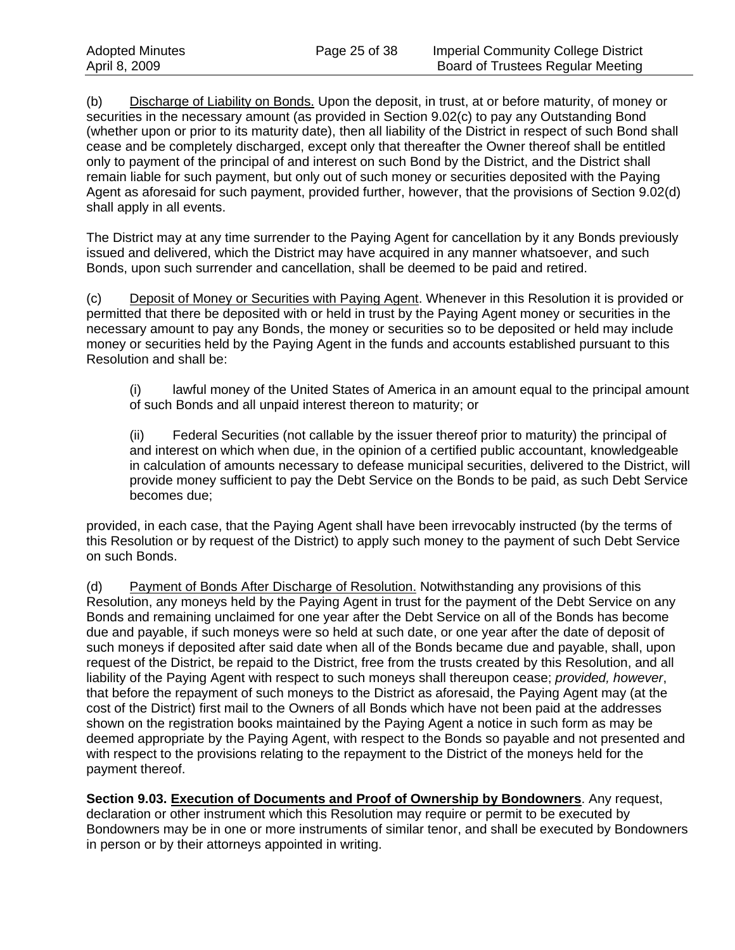(b) Discharge of Liability on Bonds. Upon the deposit, in trust, at or before maturity, of money or securities in the necessary amount (as provided in Section 9.02(c) to pay any Outstanding Bond (whether upon or prior to its maturity date), then all liability of the District in respect of such Bond shall cease and be completely discharged, except only that thereafter the Owner thereof shall be entitled only to payment of the principal of and interest on such Bond by the District, and the District shall remain liable for such payment, but only out of such money or securities deposited with the Paying Agent as aforesaid for such payment, provided further, however, that the provisions of Section 9.02(d) shall apply in all events.

The District may at any time surrender to the Paying Agent for cancellation by it any Bonds previously issued and delivered, which the District may have acquired in any manner whatsoever, and such Bonds, upon such surrender and cancellation, shall be deemed to be paid and retired.

(c) Deposit of Money or Securities with Paying Agent. Whenever in this Resolution it is provided or permitted that there be deposited with or held in trust by the Paying Agent money or securities in the necessary amount to pay any Bonds, the money or securities so to be deposited or held may include money or securities held by the Paying Agent in the funds and accounts established pursuant to this Resolution and shall be:

(i) lawful money of the United States of America in an amount equal to the principal amount of such Bonds and all unpaid interest thereon to maturity; or

(ii) Federal Securities (not callable by the issuer thereof prior to maturity) the principal of and interest on which when due, in the opinion of a certified public accountant, knowledgeable in calculation of amounts necessary to defease municipal securities, delivered to the District, will provide money sufficient to pay the Debt Service on the Bonds to be paid, as such Debt Service becomes due;

provided, in each case, that the Paying Agent shall have been irrevocably instructed (by the terms of this Resolution or by request of the District) to apply such money to the payment of such Debt Service on such Bonds.

(d) Payment of Bonds After Discharge of Resolution. Notwithstanding any provisions of this Resolution, any moneys held by the Paying Agent in trust for the payment of the Debt Service on any Bonds and remaining unclaimed for one year after the Debt Service on all of the Bonds has become due and payable, if such moneys were so held at such date, or one year after the date of deposit of such moneys if deposited after said date when all of the Bonds became due and payable, shall, upon request of the District, be repaid to the District, free from the trusts created by this Resolution, and all liability of the Paying Agent with respect to such moneys shall thereupon cease; *provided, however*, that before the repayment of such moneys to the District as aforesaid, the Paying Agent may (at the cost of the District) first mail to the Owners of all Bonds which have not been paid at the addresses shown on the registration books maintained by the Paying Agent a notice in such form as may be deemed appropriate by the Paying Agent, with respect to the Bonds so payable and not presented and with respect to the provisions relating to the repayment to the District of the moneys held for the payment thereof.

**Section 9.03. Execution of Documents and Proof of Ownership by Bondowners**. Any request, declaration or other instrument which this Resolution may require or permit to be executed by Bondowners may be in one or more instruments of similar tenor, and shall be executed by Bondowners in person or by their attorneys appointed in writing.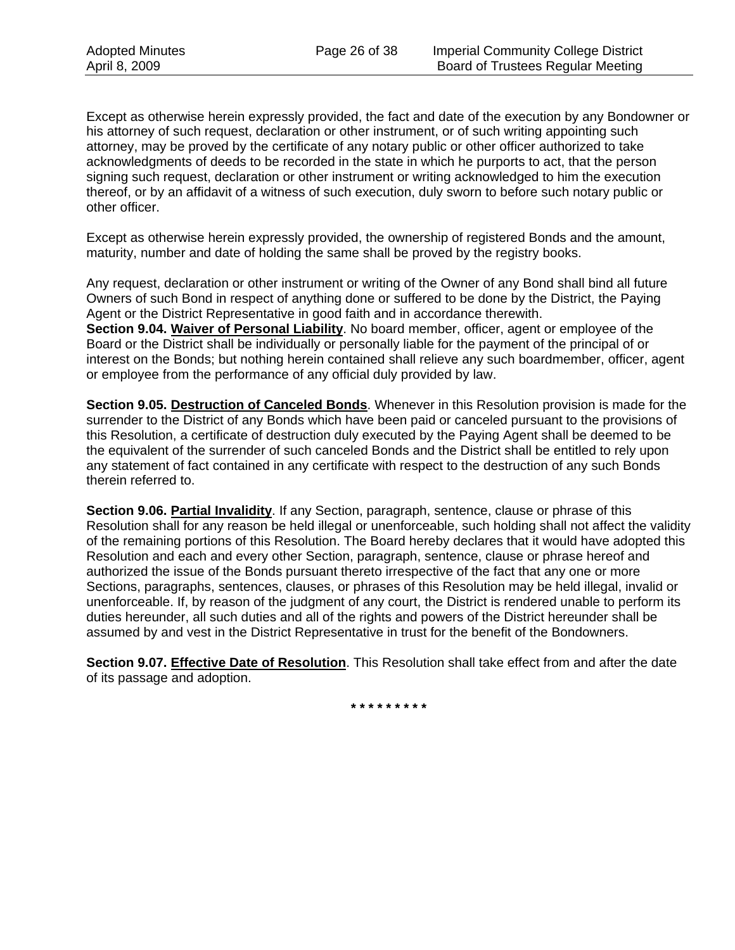Except as otherwise herein expressly provided, the fact and date of the execution by any Bondowner or his attorney of such request, declaration or other instrument, or of such writing appointing such attorney, may be proved by the certificate of any notary public or other officer authorized to take acknowledgments of deeds to be recorded in the state in which he purports to act, that the person signing such request, declaration or other instrument or writing acknowledged to him the execution thereof, or by an affidavit of a witness of such execution, duly sworn to before such notary public or other officer.

Except as otherwise herein expressly provided, the ownership of registered Bonds and the amount, maturity, number and date of holding the same shall be proved by the registry books.

Any request, declaration or other instrument or writing of the Owner of any Bond shall bind all future Owners of such Bond in respect of anything done or suffered to be done by the District, the Paying Agent or the District Representative in good faith and in accordance therewith. **Section 9.04. Waiver of Personal Liability**. No board member, officer, agent or employee of the Board or the District shall be individually or personally liable for the payment of the principal of or interest on the Bonds; but nothing herein contained shall relieve any such boardmember, officer, agent or employee from the performance of any official duly provided by law.

**Section 9.05. Destruction of Canceled Bonds**. Whenever in this Resolution provision is made for the surrender to the District of any Bonds which have been paid or canceled pursuant to the provisions of this Resolution, a certificate of destruction duly executed by the Paying Agent shall be deemed to be the equivalent of the surrender of such canceled Bonds and the District shall be entitled to rely upon any statement of fact contained in any certificate with respect to the destruction of any such Bonds therein referred to.

**Section 9.06. Partial Invalidity**. If any Section, paragraph, sentence, clause or phrase of this Resolution shall for any reason be held illegal or unenforceable, such holding shall not affect the validity of the remaining portions of this Resolution. The Board hereby declares that it would have adopted this Resolution and each and every other Section, paragraph, sentence, clause or phrase hereof and authorized the issue of the Bonds pursuant thereto irrespective of the fact that any one or more Sections, paragraphs, sentences, clauses, or phrases of this Resolution may be held illegal, invalid or unenforceable. If, by reason of the judgment of any court, the District is rendered unable to perform its duties hereunder, all such duties and all of the rights and powers of the District hereunder shall be assumed by and vest in the District Representative in trust for the benefit of the Bondowners.

**Section 9.07. Effective Date of Resolution**. This Resolution shall take effect from and after the date of its passage and adoption.

**\* \* \* \* \* \* \* \* \***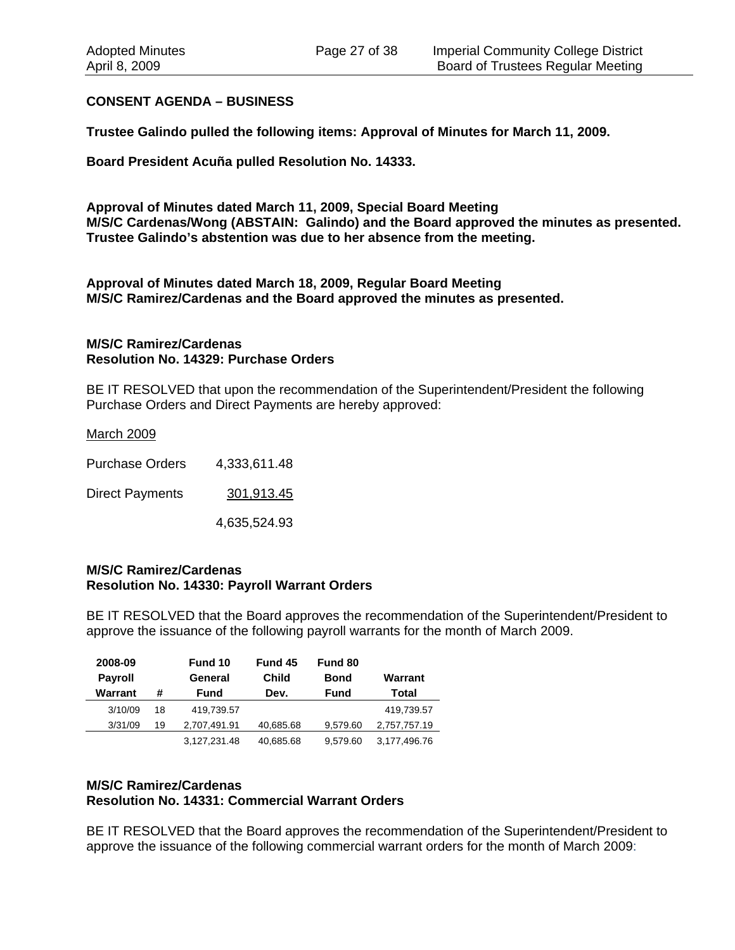#### **CONSENT AGENDA – BUSINESS**

**Trustee Galindo pulled the following items: Approval of Minutes for March 11, 2009.** 

**Board President Acuña pulled Resolution No. 14333.** 

**Approval of Minutes dated March 11, 2009, Special Board Meeting M/S/C Cardenas/Wong (ABSTAIN: Galindo) and the Board approved the minutes as presented. Trustee Galindo's abstention was due to her absence from the meeting.** 

**Approval of Minutes dated March 18, 2009, Regular Board Meeting M/S/C Ramirez/Cardenas and the Board approved the minutes as presented.** 

#### **M/S/C Ramirez/Cardenas Resolution No. 14329: Purchase Orders**

BE IT RESOLVED that upon the recommendation of the Superintendent/President the following Purchase Orders and Direct Payments are hereby approved:

#### March 2009

Purchase Orders 4,333,611.48 Direct Payments 301,913.45 4,635,524.93

#### **M/S/C Ramirez/Cardenas Resolution No. 14330: Payroll Warrant Orders**

BE IT RESOLVED that the Board approves the recommendation of the Superintendent/President to approve the issuance of the following payroll warrants for the month of March 2009.

| 2008-09        |    | Fund 10      | Fund 45   | Fund 80     |              |
|----------------|----|--------------|-----------|-------------|--------------|
| <b>Payroll</b> |    | General      | Child     | Bond        | Warrant      |
| Warrant        | #  | Fund         | Dev.      | <b>Fund</b> | Total        |
| 3/10/09        | 18 | 419,739.57   |           |             | 419,739.57   |
| 3/31/09        | 19 | 2,707,491.91 | 40,685.68 | 9.579.60    | 2,757,757.19 |
|                |    | 3,127,231.48 | 40,685.68 | 9.579.60    | 3,177,496.76 |

#### **M/S/C Ramirez/Cardenas Resolution No. 14331: Commercial Warrant Orders**

BE IT RESOLVED that the Board approves the recommendation of the Superintendent/President to approve the issuance of the following commercial warrant orders for the month of March 2009: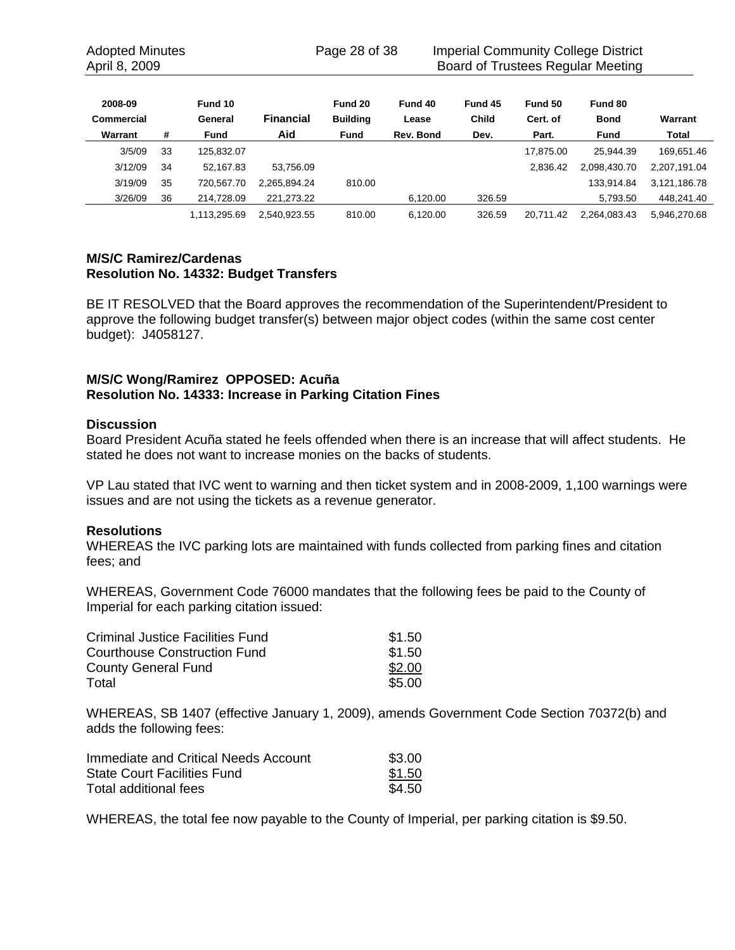Adopted Minutes **Page 28 of 38** Imperial Community College District April 8, 2009 **Board of Trustees Regular Meeting** 

| 2008-09    |    | Fund 10      |                  | Fund 20         | Fund 40   | Fund 45 | Fund 50   | Fund 80      |              |
|------------|----|--------------|------------------|-----------------|-----------|---------|-----------|--------------|--------------|
| Commercial |    | General      | <b>Financial</b> | <b>Building</b> | Lease     | Child   | Cert. of  | <b>Bond</b>  | Warrant      |
| Warrant    | #  | <b>Fund</b>  | Aid              | <b>Fund</b>     | Rev. Bond | Dev.    | Part.     | <b>Fund</b>  | Total        |
| 3/5/09     | 33 | 125.832.07   |                  |                 |           |         | 17.875.00 | 25.944.39    | 169.651.46   |
| 3/12/09    | 34 | 52.167.83    | 53.756.09        |                 |           |         | 2.836.42  | 2,098,430.70 | 2,207,191.04 |
| 3/19/09    | 35 | 720.567.70   | 2.265.894.24     | 810.00          |           |         |           | 133.914.84   | 3,121,186.78 |
| 3/26/09    | 36 | 214.728.09   | 221.273.22       |                 | 6.120.00  | 326.59  |           | 5,793.50     | 448.241.40   |
|            |    | 1.113.295.69 | 2.540.923.55     | 810.00          | 6.120.00  | 326.59  | 20.711.42 | 2,264,083.43 | 5.946.270.68 |

### **M/S/C Ramirez/Cardenas Resolution No. 14332: Budget Transfers**

BE IT RESOLVED that the Board approves the recommendation of the Superintendent/President to approve the following budget transfer(s) between major object codes (within the same cost center budget): J4058127.

## **M/S/C Wong/Ramirez OPPOSED: Acuña Resolution No. 14333: Increase in Parking Citation Fines**

#### **Discussion**

Board President Acuña stated he feels offended when there is an increase that will affect students. He stated he does not want to increase monies on the backs of students.

VP Lau stated that IVC went to warning and then ticket system and in 2008-2009, 1,100 warnings were issues and are not using the tickets as a revenue generator.

#### **Resolutions**

WHEREAS the IVC parking lots are maintained with funds collected from parking fines and citation fees; and

WHEREAS, Government Code 76000 mandates that the following fees be paid to the County of Imperial for each parking citation issued:

| Criminal Justice Facilities Fund | \$1.50 |
|----------------------------------|--------|
| Courthouse Construction Fund     | \$1.50 |
| <b>County General Fund</b>       | \$2.00 |
| Total                            | \$5.00 |

WHEREAS, SB 1407 (effective January 1, 2009), amends Government Code Section 70372(b) and adds the following fees:

| Immediate and Critical Needs Account | \$3.00 |
|--------------------------------------|--------|
| <b>State Court Facilities Fund</b>   | \$1.50 |
| Total additional fees                | \$4.50 |

WHEREAS, the total fee now payable to the County of Imperial, per parking citation is \$9.50.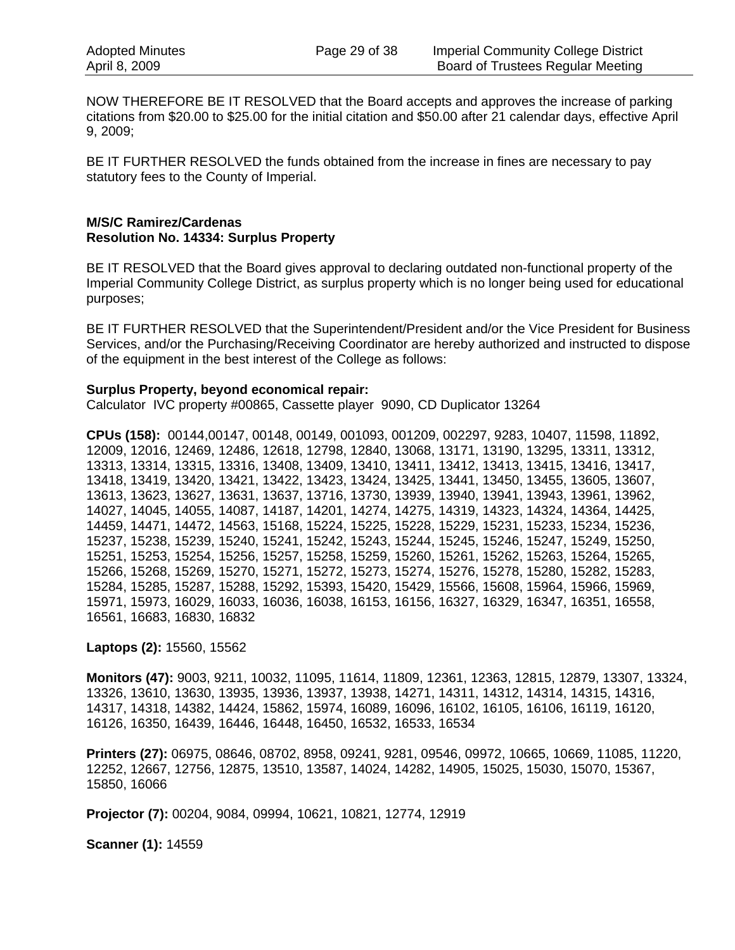NOW THEREFORE BE IT RESOLVED that the Board accepts and approves the increase of parking citations from \$20.00 to \$25.00 for the initial citation and \$50.00 after 21 calendar days, effective April 9, 2009;

BE IT FURTHER RESOLVED the funds obtained from the increase in fines are necessary to pay statutory fees to the County of Imperial.

#### **M/S/C Ramirez/Cardenas Resolution No. 14334: Surplus Property**

BE IT RESOLVED that the Board gives approval to declaring outdated non-functional property of the Imperial Community College District, as surplus property which is no longer being used for educational purposes;

BE IT FURTHER RESOLVED that the Superintendent/President and/or the Vice President for Business Services, and/or the Purchasing/Receiving Coordinator are hereby authorized and instructed to dispose of the equipment in the best interest of the College as follows:

#### **Surplus Property, beyond economical repair:**

Calculator IVC property #00865, Cassette player 9090, CD Duplicator 13264

**CPUs (158):** 00144,00147, 00148, 00149, 001093, 001209, 002297, 9283, 10407, 11598, 11892, 12009, 12016, 12469, 12486, 12618, 12798, 12840, 13068, 13171, 13190, 13295, 13311, 13312, 13313, 13314, 13315, 13316, 13408, 13409, 13410, 13411, 13412, 13413, 13415, 13416, 13417, 13418, 13419, 13420, 13421, 13422, 13423, 13424, 13425, 13441, 13450, 13455, 13605, 13607, 13613, 13623, 13627, 13631, 13637, 13716, 13730, 13939, 13940, 13941, 13943, 13961, 13962, 14027, 14045, 14055, 14087, 14187, 14201, 14274, 14275, 14319, 14323, 14324, 14364, 14425, 14459, 14471, 14472, 14563, 15168, 15224, 15225, 15228, 15229, 15231, 15233, 15234, 15236, 15237, 15238, 15239, 15240, 15241, 15242, 15243, 15244, 15245, 15246, 15247, 15249, 15250, 15251, 15253, 15254, 15256, 15257, 15258, 15259, 15260, 15261, 15262, 15263, 15264, 15265, 15266, 15268, 15269, 15270, 15271, 15272, 15273, 15274, 15276, 15278, 15280, 15282, 15283, 15284, 15285, 15287, 15288, 15292, 15393, 15420, 15429, 15566, 15608, 15964, 15966, 15969, 15971, 15973, 16029, 16033, 16036, 16038, 16153, 16156, 16327, 16329, 16347, 16351, 16558, 16561, 16683, 16830, 16832

**Laptops (2):** 15560, 15562

**Monitors (47):** 9003, 9211, 10032, 11095, 11614, 11809, 12361, 12363, 12815, 12879, 13307, 13324, 13326, 13610, 13630, 13935, 13936, 13937, 13938, 14271, 14311, 14312, 14314, 14315, 14316, 14317, 14318, 14382, 14424, 15862, 15974, 16089, 16096, 16102, 16105, 16106, 16119, 16120, 16126, 16350, 16439, 16446, 16448, 16450, 16532, 16533, 16534

**Printers (27):** 06975, 08646, 08702, 8958, 09241, 9281, 09546, 09972, 10665, 10669, 11085, 11220, 12252, 12667, 12756, 12875, 13510, 13587, 14024, 14282, 14905, 15025, 15030, 15070, 15367, 15850, 16066

**Projector (7):** 00204, 9084, 09994, 10621, 10821, 12774, 12919

**Scanner (1):** 14559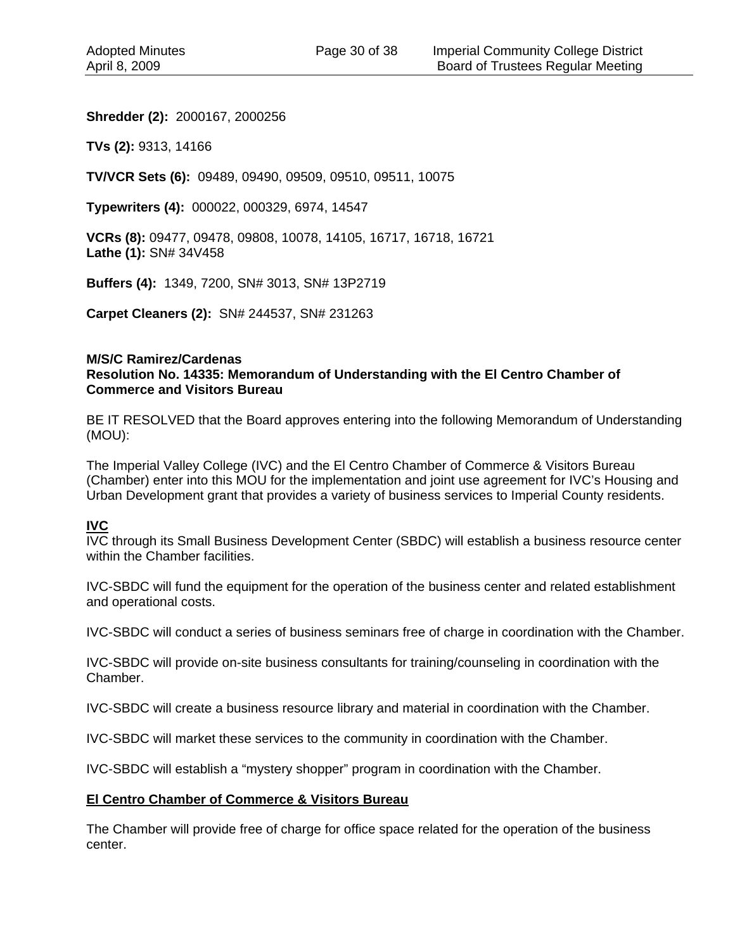#### **Shredder (2):** 2000167, 2000256

**TVs (2):** 9313, 14166

**TV/VCR Sets (6):** 09489, 09490, 09509, 09510, 09511, 10075

**Typewriters (4):** 000022, 000329, 6974, 14547

**VCRs (8):** 09477, 09478, 09808, 10078, 14105, 16717, 16718, 16721 **Lathe (1):** SN# 34V458

**Buffers (4):** 1349, 7200, SN# 3013, SN# 13P2719

**Carpet Cleaners (2):** SN# 244537, SN# 231263

#### **M/S/C Ramirez/Cardenas Resolution No. 14335: Memorandum of Understanding with the El Centro Chamber of Commerce and Visitors Bureau**

BE IT RESOLVED that the Board approves entering into the following Memorandum of Understanding (MOU):

The Imperial Valley College (IVC) and the El Centro Chamber of Commerce & Visitors Bureau (Chamber) enter into this MOU for the implementation and joint use agreement for IVC's Housing and Urban Development grant that provides a variety of business services to Imperial County residents.

#### **IVC**

IVC through its Small Business Development Center (SBDC) will establish a business resource center within the Chamber facilities.

IVC-SBDC will fund the equipment for the operation of the business center and related establishment and operational costs.

IVC-SBDC will conduct a series of business seminars free of charge in coordination with the Chamber.

IVC-SBDC will provide on-site business consultants for training/counseling in coordination with the Chamber.

IVC-SBDC will create a business resource library and material in coordination with the Chamber.

IVC-SBDC will market these services to the community in coordination with the Chamber.

IVC-SBDC will establish a "mystery shopper" program in coordination with the Chamber.

#### **El Centro Chamber of Commerce & Visitors Bureau**

The Chamber will provide free of charge for office space related for the operation of the business center.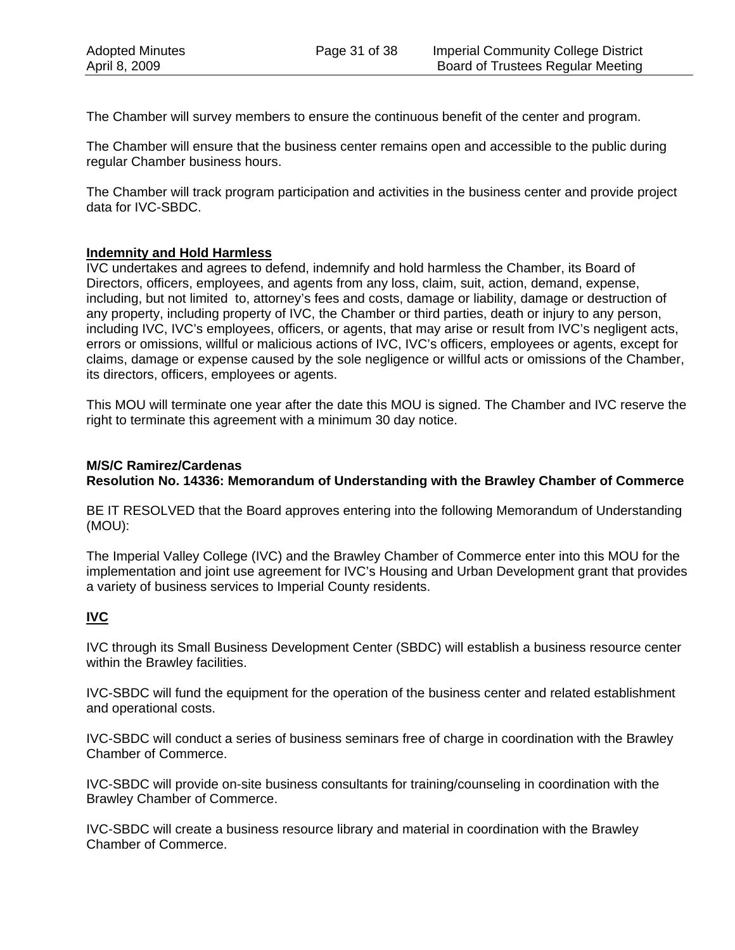The Chamber will survey members to ensure the continuous benefit of the center and program.

The Chamber will ensure that the business center remains open and accessible to the public during regular Chamber business hours.

The Chamber will track program participation and activities in the business center and provide project data for IVC-SBDC.

#### **Indemnity and Hold Harmless**

IVC undertakes and agrees to defend, indemnify and hold harmless the Chamber, its Board of Directors, officers, employees, and agents from any loss, claim, suit, action, demand, expense, including, but not limited to, attorney's fees and costs, damage or liability, damage or destruction of any property, including property of IVC, the Chamber or third parties, death or injury to any person, including IVC, IVC's employees, officers, or agents, that may arise or result from IVC's negligent acts, errors or omissions, willful or malicious actions of IVC, IVC's officers, employees or agents, except for claims, damage or expense caused by the sole negligence or willful acts or omissions of the Chamber, its directors, officers, employees or agents.

This MOU will terminate one year after the date this MOU is signed. The Chamber and IVC reserve the right to terminate this agreement with a minimum 30 day notice.

## **M/S/C Ramirez/Cardenas Resolution No. 14336: Memorandum of Understanding with the Brawley Chamber of Commerce**

BE IT RESOLVED that the Board approves entering into the following Memorandum of Understanding (MOU):

The Imperial Valley College (IVC) and the Brawley Chamber of Commerce enter into this MOU for the implementation and joint use agreement for IVC's Housing and Urban Development grant that provides a variety of business services to Imperial County residents.

## **IVC**

IVC through its Small Business Development Center (SBDC) will establish a business resource center within the Brawley facilities.

IVC-SBDC will fund the equipment for the operation of the business center and related establishment and operational costs.

IVC-SBDC will conduct a series of business seminars free of charge in coordination with the Brawley Chamber of Commerce.

IVC-SBDC will provide on-site business consultants for training/counseling in coordination with the Brawley Chamber of Commerce.

IVC-SBDC will create a business resource library and material in coordination with the Brawley Chamber of Commerce.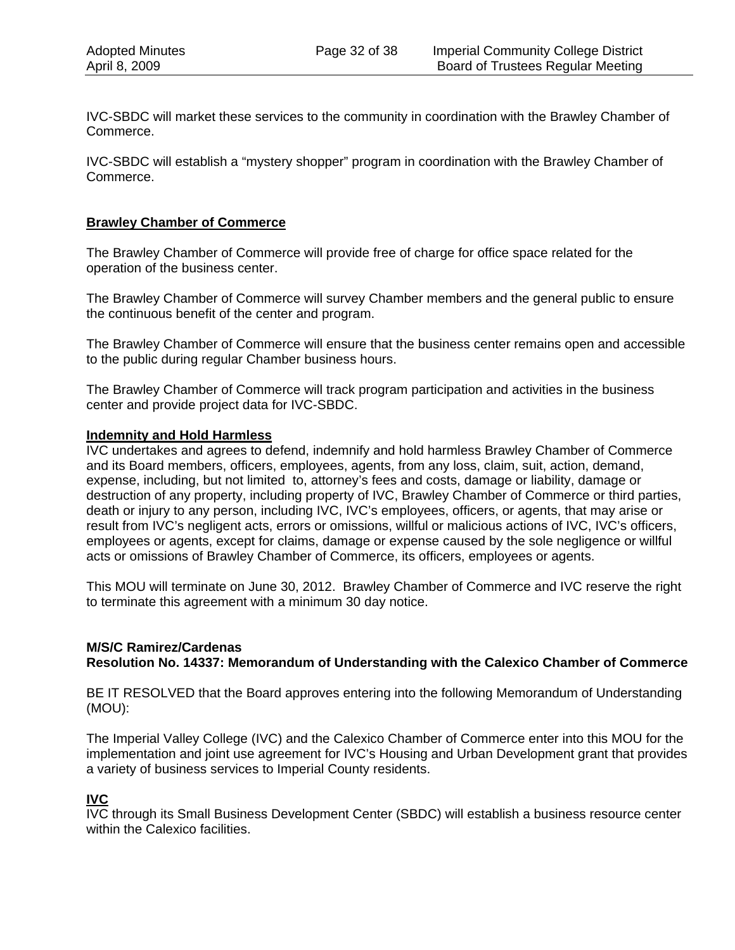IVC-SBDC will market these services to the community in coordination with the Brawley Chamber of Commerce.

IVC-SBDC will establish a "mystery shopper" program in coordination with the Brawley Chamber of Commerce.

#### **Brawley Chamber of Commerce**

The Brawley Chamber of Commerce will provide free of charge for office space related for the operation of the business center.

The Brawley Chamber of Commerce will survey Chamber members and the general public to ensure the continuous benefit of the center and program.

The Brawley Chamber of Commerce will ensure that the business center remains open and accessible to the public during regular Chamber business hours.

The Brawley Chamber of Commerce will track program participation and activities in the business center and provide project data for IVC-SBDC.

#### **Indemnity and Hold Harmless**

IVC undertakes and agrees to defend, indemnify and hold harmless Brawley Chamber of Commerce and its Board members, officers, employees, agents, from any loss, claim, suit, action, demand, expense, including, but not limited to, attorney's fees and costs, damage or liability, damage or destruction of any property, including property of IVC, Brawley Chamber of Commerce or third parties, death or injury to any person, including IVC, IVC's employees, officers, or agents, that may arise or result from IVC's negligent acts, errors or omissions, willful or malicious actions of IVC, IVC's officers, employees or agents, except for claims, damage or expense caused by the sole negligence or willful acts or omissions of Brawley Chamber of Commerce, its officers, employees or agents.

This MOU will terminate on June 30, 2012. Brawley Chamber of Commerce and IVC reserve the right to terminate this agreement with a minimum 30 day notice.

## **M/S/C Ramirez/Cardenas Resolution No. 14337: Memorandum of Understanding with the Calexico Chamber of Commerce**

BE IT RESOLVED that the Board approves entering into the following Memorandum of Understanding (MOU):

The Imperial Valley College (IVC) and the Calexico Chamber of Commerce enter into this MOU for the implementation and joint use agreement for IVC's Housing and Urban Development grant that provides a variety of business services to Imperial County residents.

## **IVC**

IVC through its Small Business Development Center (SBDC) will establish a business resource center within the Calexico facilities.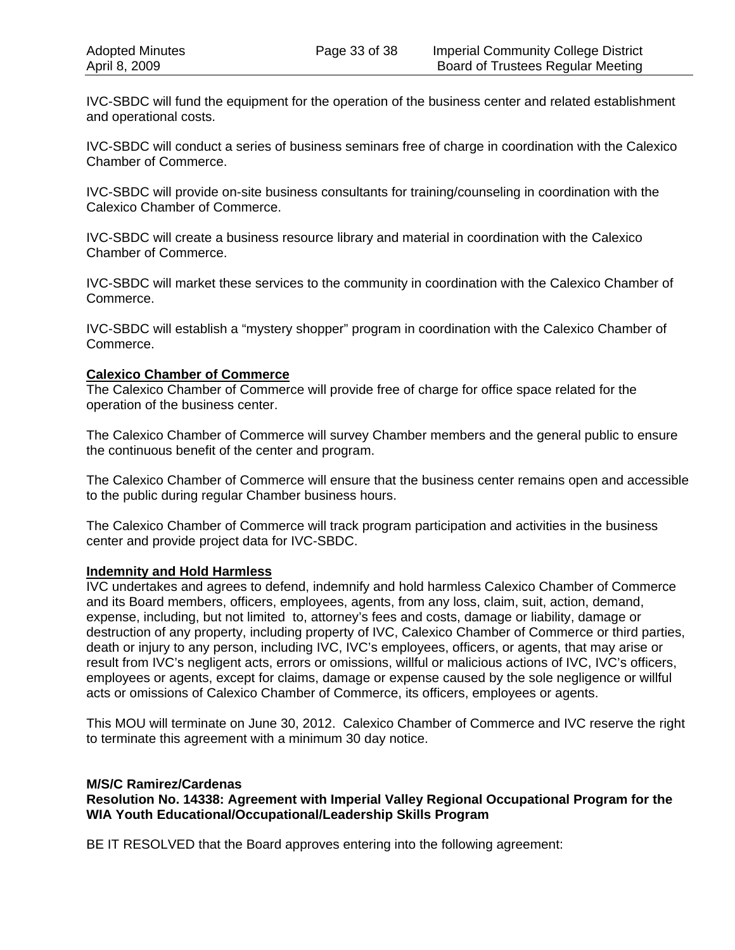IVC-SBDC will fund the equipment for the operation of the business center and related establishment and operational costs.

IVC-SBDC will conduct a series of business seminars free of charge in coordination with the Calexico Chamber of Commerce.

IVC-SBDC will provide on-site business consultants for training/counseling in coordination with the Calexico Chamber of Commerce.

IVC-SBDC will create a business resource library and material in coordination with the Calexico Chamber of Commerce.

IVC-SBDC will market these services to the community in coordination with the Calexico Chamber of Commerce.

IVC-SBDC will establish a "mystery shopper" program in coordination with the Calexico Chamber of Commerce.

#### **Calexico Chamber of Commerce**

The Calexico Chamber of Commerce will provide free of charge for office space related for the operation of the business center.

The Calexico Chamber of Commerce will survey Chamber members and the general public to ensure the continuous benefit of the center and program.

The Calexico Chamber of Commerce will ensure that the business center remains open and accessible to the public during regular Chamber business hours.

The Calexico Chamber of Commerce will track program participation and activities in the business center and provide project data for IVC-SBDC.

#### **Indemnity and Hold Harmless**

IVC undertakes and agrees to defend, indemnify and hold harmless Calexico Chamber of Commerce and its Board members, officers, employees, agents, from any loss, claim, suit, action, demand, expense, including, but not limited to, attorney's fees and costs, damage or liability, damage or destruction of any property, including property of IVC, Calexico Chamber of Commerce or third parties, death or injury to any person, including IVC, IVC's employees, officers, or agents, that may arise or result from IVC's negligent acts, errors or omissions, willful or malicious actions of IVC, IVC's officers, employees or agents, except for claims, damage or expense caused by the sole negligence or willful acts or omissions of Calexico Chamber of Commerce, its officers, employees or agents.

This MOU will terminate on June 30, 2012. Calexico Chamber of Commerce and IVC reserve the right to terminate this agreement with a minimum 30 day notice.

#### **M/S/C Ramirez/Cardenas**

**Resolution No. 14338: Agreement with Imperial Valley Regional Occupational Program for the WIA Youth Educational/Occupational/Leadership Skills Program** 

BE IT RESOLVED that the Board approves entering into the following agreement: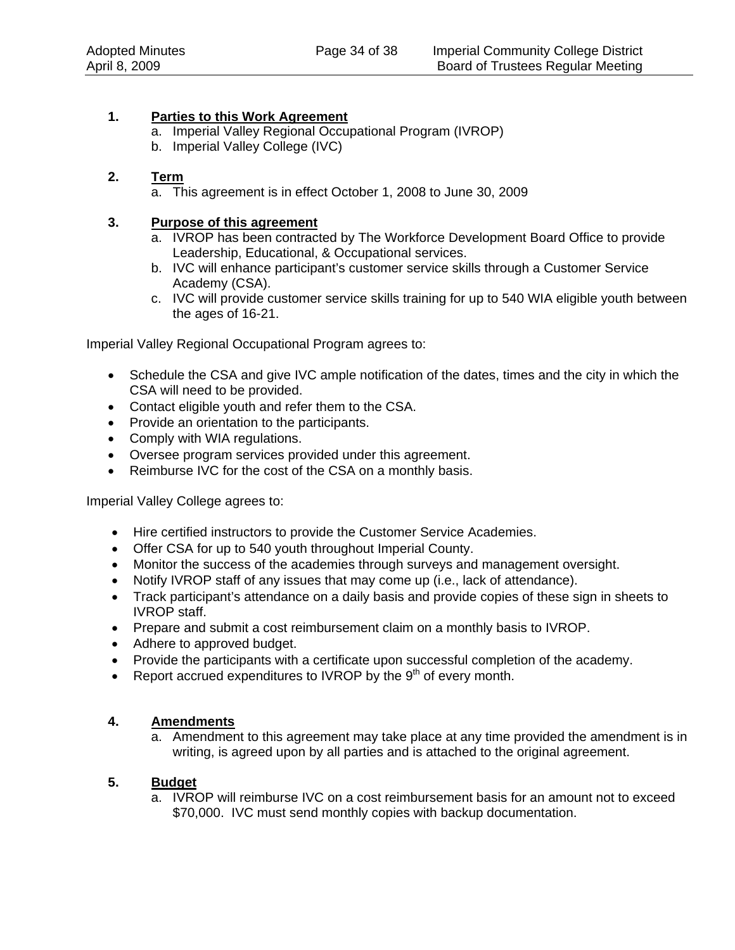## **1. Parties to this Work Agreement**

- a. Imperial Valley Regional Occupational Program (IVROP)
- b. Imperial Valley College (IVC)

## **2. Term**

a. This agreement is in effect October 1, 2008 to June 30, 2009

### **3. Purpose of this agreement**

- a. IVROP has been contracted by The Workforce Development Board Office to provide Leadership, Educational, & Occupational services.
- b. IVC will enhance participant's customer service skills through a Customer Service Academy (CSA).
- c. IVC will provide customer service skills training for up to 540 WIA eligible youth between the ages of 16-21.

Imperial Valley Regional Occupational Program agrees to:

- Schedule the CSA and give IVC ample notification of the dates, times and the city in which the CSA will need to be provided.
- Contact eligible youth and refer them to the CSA.
- Provide an orientation to the participants.
- Comply with WIA regulations.
- Oversee program services provided under this agreement.
- Reimburse IVC for the cost of the CSA on a monthly basis.

Imperial Valley College agrees to:

- Hire certified instructors to provide the Customer Service Academies.
- Offer CSA for up to 540 youth throughout Imperial County.
- Monitor the success of the academies through surveys and management oversight.
- Notify IVROP staff of any issues that may come up (i.e., lack of attendance).
- Track participant's attendance on a daily basis and provide copies of these sign in sheets to IVROP staff.
- Prepare and submit a cost reimbursement claim on a monthly basis to IVROP.
- Adhere to approved budget.
- Provide the participants with a certificate upon successful completion of the academy.
- Report accrued expenditures to IVROP by the  $9<sup>th</sup>$  of every month.

## **4. Amendments**

a. Amendment to this agreement may take place at any time provided the amendment is in writing, is agreed upon by all parties and is attached to the original agreement.

## **5. Budget**

a. IVROP will reimburse IVC on a cost reimbursement basis for an amount not to exceed \$70,000. IVC must send monthly copies with backup documentation.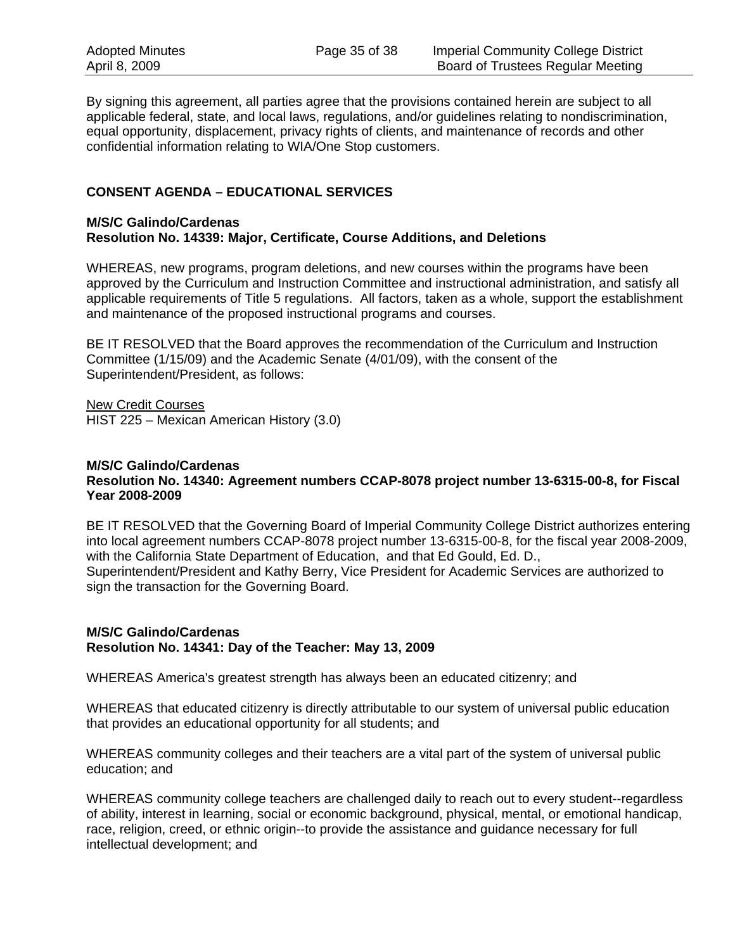By signing this agreement, all parties agree that the provisions contained herein are subject to all applicable federal, state, and local laws, regulations, and/or guidelines relating to nondiscrimination, equal opportunity, displacement, privacy rights of clients, and maintenance of records and other confidential information relating to WIA/One Stop customers.

## **CONSENT AGENDA – EDUCATIONAL SERVICES**

#### **M/S/C Galindo/Cardenas Resolution No. 14339: Major, Certificate, Course Additions, and Deletions**

WHEREAS, new programs, program deletions, and new courses within the programs have been approved by the Curriculum and Instruction Committee and instructional administration, and satisfy all applicable requirements of Title 5 regulations. All factors, taken as a whole, support the establishment and maintenance of the proposed instructional programs and courses.

BE IT RESOLVED that the Board approves the recommendation of the Curriculum and Instruction Committee (1/15/09) and the Academic Senate (4/01/09), with the consent of the Superintendent/President, as follows:

New Credit Courses HIST 225 – Mexican American History (3.0)

#### **M/S/C Galindo/Cardenas Resolution No. 14340: Agreement numbers CCAP-8078 project number 13-6315-00-8, for Fiscal Year 2008-2009**

BE IT RESOLVED that the Governing Board of Imperial Community College District authorizes entering into local agreement numbers CCAP-8078 project number 13-6315-00-8, for the fiscal year 2008-2009, with the California State Department of Education, and that Ed Gould, Ed. D., Superintendent/President and Kathy Berry, Vice President for Academic Services are authorized to sign the transaction for the Governing Board.

#### **M/S/C Galindo/Cardenas Resolution No. 14341: Day of the Teacher: May 13, 2009**

WHEREAS America's greatest strength has always been an educated citizenry; and

WHEREAS that educated citizenry is directly attributable to our system of universal public education that provides an educational opportunity for all students; and

WHEREAS community colleges and their teachers are a vital part of the system of universal public education; and

WHEREAS community college teachers are challenged daily to reach out to every student--regardless of ability, interest in learning, social or economic background, physical, mental, or emotional handicap, race, religion, creed, or ethnic origin--to provide the assistance and guidance necessary for full intellectual development; and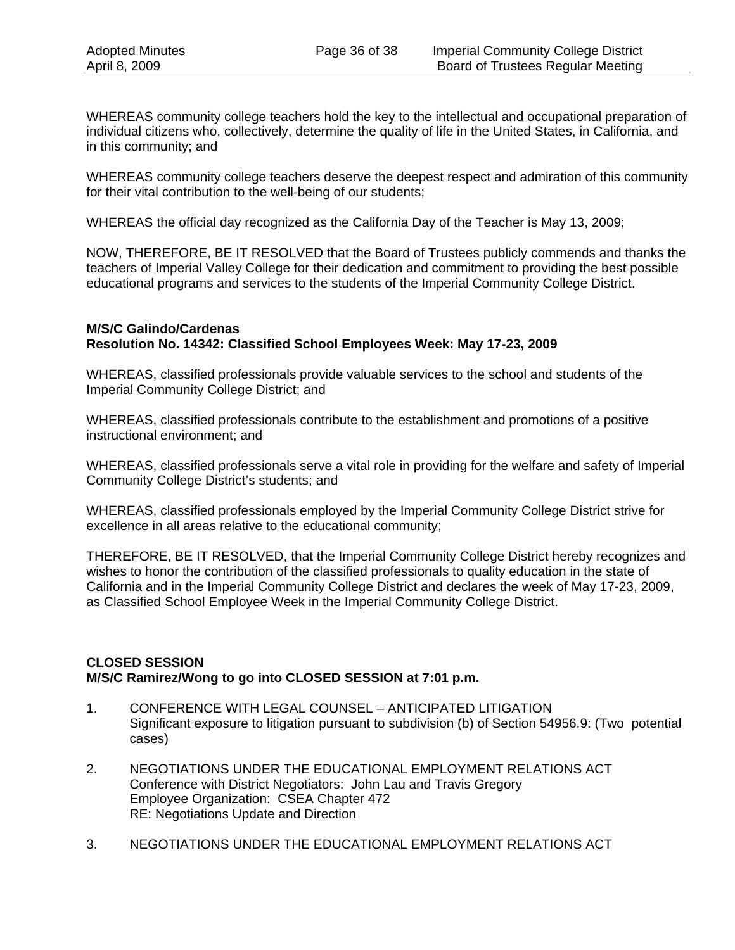WHEREAS community college teachers hold the key to the intellectual and occupational preparation of individual citizens who, collectively, determine the quality of life in the United States, in California, and in this community; and

WHEREAS community college teachers deserve the deepest respect and admiration of this community for their vital contribution to the well-being of our students;

WHEREAS the official day recognized as the California Day of the Teacher is May 13, 2009;

NOW, THEREFORE, BE IT RESOLVED that the Board of Trustees publicly commends and thanks the teachers of Imperial Valley College for their dedication and commitment to providing the best possible educational programs and services to the students of the Imperial Community College District.

#### **M/S/C Galindo/Cardenas Resolution No. 14342: Classified School Employees Week: May 17-23, 2009**

WHEREAS, classified professionals provide valuable services to the school and students of the Imperial Community College District; and

WHEREAS, classified professionals contribute to the establishment and promotions of a positive instructional environment; and

WHEREAS, classified professionals serve a vital role in providing for the welfare and safety of Imperial Community College District's students; and

WHEREAS, classified professionals employed by the Imperial Community College District strive for excellence in all areas relative to the educational community;

THEREFORE, BE IT RESOLVED, that the Imperial Community College District hereby recognizes and wishes to honor the contribution of the classified professionals to quality education in the state of California and in the Imperial Community College District and declares the week of May 17-23, 2009, as Classified School Employee Week in the Imperial Community College District.

## **CLOSED SESSION M/S/C Ramirez/Wong to go into CLOSED SESSION at 7:01 p.m.**

- 1. CONFERENCE WITH LEGAL COUNSEL ANTICIPATED LITIGATION Significant exposure to litigation pursuant to subdivision (b) of Section 54956.9: (Two potential cases)
- 2. NEGOTIATIONS UNDER THE EDUCATIONAL EMPLOYMENT RELATIONS ACT Conference with District Negotiators: John Lau and Travis Gregory Employee Organization: CSEA Chapter 472 RE: Negotiations Update and Direction
- 3. NEGOTIATIONS UNDER THE EDUCATIONAL EMPLOYMENT RELATIONS ACT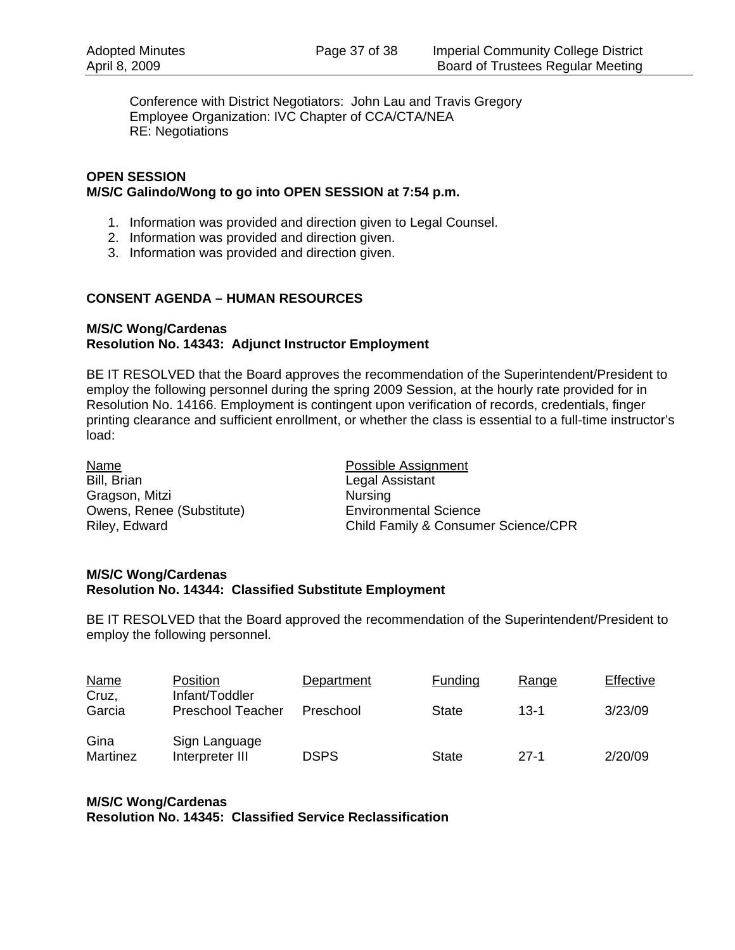Conference with District Negotiators: John Lau and Travis Gregory Employee Organization: IVC Chapter of CCA/CTA/NEA RE: Negotiations

#### **OPEN SESSION M/S/C Galindo/Wong to go into OPEN SESSION at 7:54 p.m.**

- 1. Information was provided and direction given to Legal Counsel.
- 2. Information was provided and direction given.
- 3. Information was provided and direction given.

## **CONSENT AGENDA – HUMAN RESOURCES**

#### **M/S/C Wong/Cardenas Resolution No. 14343: Adjunct Instructor Employment**

BE IT RESOLVED that the Board approves the recommendation of the Superintendent/President to employ the following personnel during the spring 2009 Session, at the hourly rate provided for in Resolution No. 14166. Employment is contingent upon verification of records, credentials, finger printing clearance and sufficient enrollment, or whether the class is essential to a full-time instructor's load:

| <b>Name</b>               |
|---------------------------|
| Bill, Brian               |
| Gragson, Mitzi            |
| Owens, Renee (Substitute) |
| Riley, Edward             |

Possible Assignment Legal Assistant Nursing **Environmental Science** Child Family & Consumer Science/CPR

#### **M/S/C Wong/Cardenas Resolution No. 14344: Classified Substitute Employment**

BE IT RESOLVED that the Board approved the recommendation of the Superintendent/President to employ the following personnel.

| <b>Name</b><br>Cruz, | Position<br>Infant/Toddler       | Department  | Funding      | Range    | Effective |
|----------------------|----------------------------------|-------------|--------------|----------|-----------|
| Garcia               | <b>Preschool Teacher</b>         | Preschool   | <b>State</b> | $13 - 1$ | 3/23/09   |
| Gina<br>Martinez     | Sign Language<br>Interpreter III | <b>DSPS</b> | State        | $27-1$   | 2/20/09   |

#### **M/S/C Wong/Cardenas Resolution No. 14345: Classified Service Reclassification**